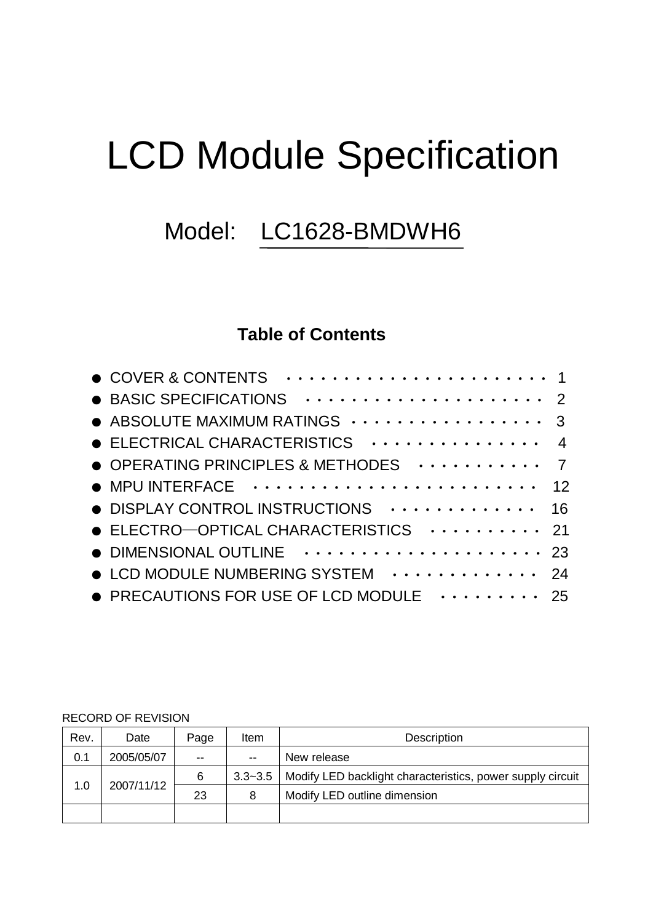# LCD Module Specification

## Model: LC1628-BMDWH6

### **Table of Contents**

| ● BASIC SPECIFICATIONS ···················· 2                       |  |
|---------------------------------------------------------------------|--|
| ● ABSOLUTE MAXIMUM RATINGS ················· 3                      |  |
|                                                                     |  |
| OPERATING PRINCIPLES & METHODES  7                                  |  |
|                                                                     |  |
| • DISPLAY CONTROL INSTRUCTIONS  16                                  |  |
| $\bullet$ ELECTRO-OPTICAL CHARACTERISTICS $\cdots \cdots \cdots$ 21 |  |
|                                                                     |  |
| • LCD MODULE NUMBERING SYSTEM  24                                   |  |
| • PRECAUTIONS FOR USE OF LCD MODULE $\cdots$ 25                     |  |

#### RECORD OF REVISION

| Rev. | Date       | Page  | Item        | Description                                                |  |  |  |
|------|------------|-------|-------------|------------------------------------------------------------|--|--|--|
| 0.1  | 2005/05/07 | $- -$ | $-$         | New release                                                |  |  |  |
|      | 2007/11/12 | 6     | $3.3 - 3.5$ | Modify LED backlight characteristics, power supply circuit |  |  |  |
| 1.0  |            | 23    | 8           | Modify LED outline dimension                               |  |  |  |
|      |            |       |             |                                                            |  |  |  |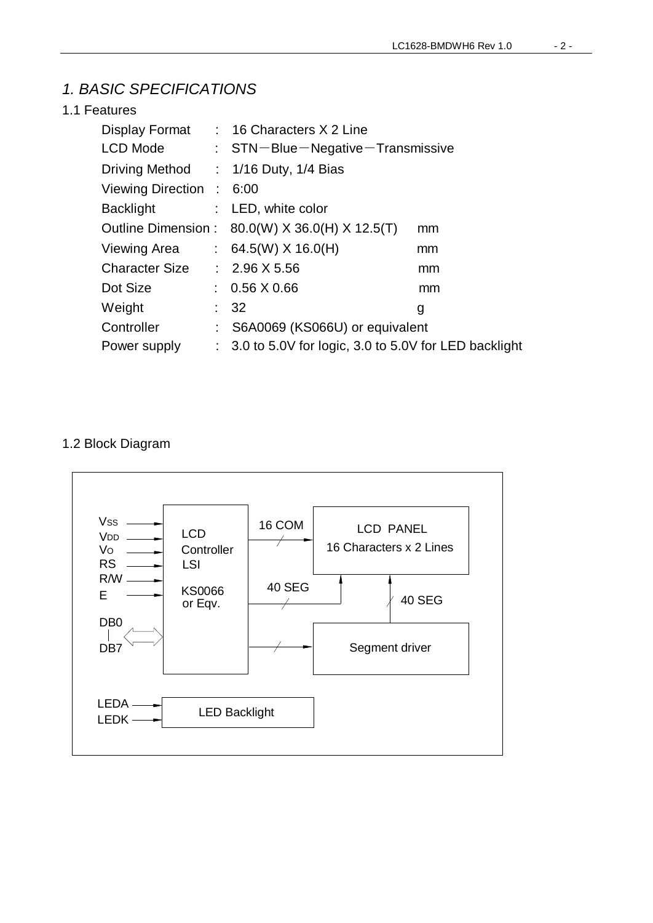#### *1. BASIC SPECIFICATIONS*

#### 1.1 Features

|                              | Display Format : 16 Characters X 2 Line                           |    |
|------------------------------|-------------------------------------------------------------------|----|
| LCD Mode                     | $:$ STN-Blue-Negative-Transmissive                                |    |
|                              | Driving Method : 1/16 Duty, 1/4 Bias                              |    |
| Viewing Direction : 6:00     |                                                                   |    |
| Backlight                    | : LED, white color                                                |    |
|                              | Outline Dimension : 80.0(W) X 36.0(H) X 12.5(T)                   | mm |
|                              | Viewing Area : $64.5(W)$ X 16.0(H)                                | mm |
| Character Size : 2.96 X 5.56 |                                                                   | mm |
| Dot Size                     | $: 0.56 \times 0.66$                                              | mm |
| Weight                       | $\therefore$ 32                                                   | g  |
| Controller                   | : S6A0069 (KS066U) or equivalent                                  |    |
| Power supply                 | $\therefore$ 3.0 to 5.0V for logic, 3.0 to 5.0V for LED backlight |    |

#### 1.2 Block Diagram

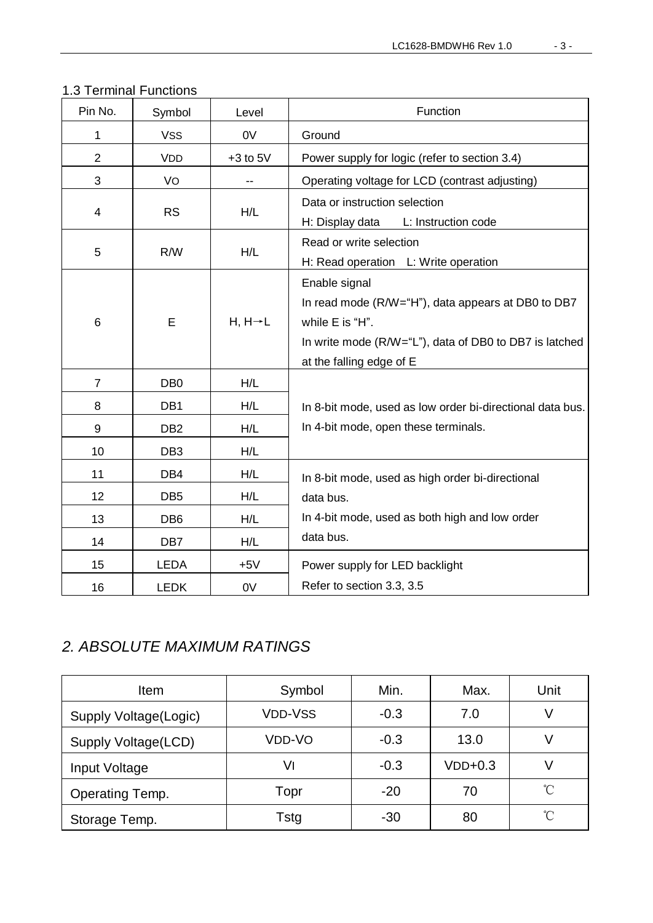|  | 1.3 Terminal Functions |
|--|------------------------|
|  |                        |

| Pin No.                 | Symbol          | Level                | Function                                                  |
|-------------------------|-----------------|----------------------|-----------------------------------------------------------|
| 1                       | <b>VSS</b>      | 0V                   | Ground                                                    |
| $\overline{2}$          | <b>VDD</b>      | $+3$ to $5V$         | Power supply for logic (refer to section 3.4)             |
| 3                       | VO              |                      | Operating voltage for LCD (contrast adjusting)            |
| $\overline{\mathbf{4}}$ | <b>RS</b>       | H/L                  | Data or instruction selection                             |
|                         |                 |                      | H: Display data<br>L: Instruction code                    |
| 5                       | R/W             | H/L                  | Read or write selection                                   |
|                         |                 |                      | H: Read operation L: Write operation                      |
|                         |                 |                      | Enable signal                                             |
|                         | E               |                      | In read mode (R/W="H"), data appears at DB0 to DB7        |
| 6                       |                 | $H, H \rightarrow L$ | while E is "H".                                           |
|                         |                 |                      | In write mode (R/W="L"), data of DB0 to DB7 is latched    |
|                         |                 |                      | at the falling edge of E                                  |
| $\overline{7}$          | DB <sub>0</sub> | H/L                  |                                                           |
| 8                       | DB1             | H/L                  | In 8-bit mode, used as low order bi-directional data bus. |
| 9                       | DB <sub>2</sub> | H/L                  | In 4-bit mode, open these terminals.                      |
| 10                      | DB <sub>3</sub> | H/L                  |                                                           |
| 11                      | DB4             | H/L                  | In 8-bit mode, used as high order bi-directional          |
| 12                      | DB <sub>5</sub> | H/L                  | data bus.                                                 |
| 13                      | DB <sub>6</sub> | H/L                  | In 4-bit mode, used as both high and low order            |
| 14                      | DB7             | H/L                  | data bus.                                                 |
| 15                      | <b>LEDA</b>     | $+5V$                | Power supply for LED backlight                            |
| 16                      | <b>LEDK</b>     | 0V                   | Refer to section 3.3, 3.5                                 |

#### *2. ABSOLUTE MAXIMUM RATINGS*

| Item                  | Symbol         | Min.   | Max.      | Unit |
|-----------------------|----------------|--------|-----------|------|
| Supply Voltage(Logic) | <b>VDD-VSS</b> | $-0.3$ | 7.0       |      |
| Supply Voltage(LCD)   | VDD-VO         | $-0.3$ | 13.0      |      |
| Input Voltage         | V١             | $-0.3$ | $VDD+0.3$ |      |
| Operating Temp.       | Topr           | $-20$  | 70        | n°   |
| Storage Temp.         | Tstg           | $-30$  | 80        | °C   |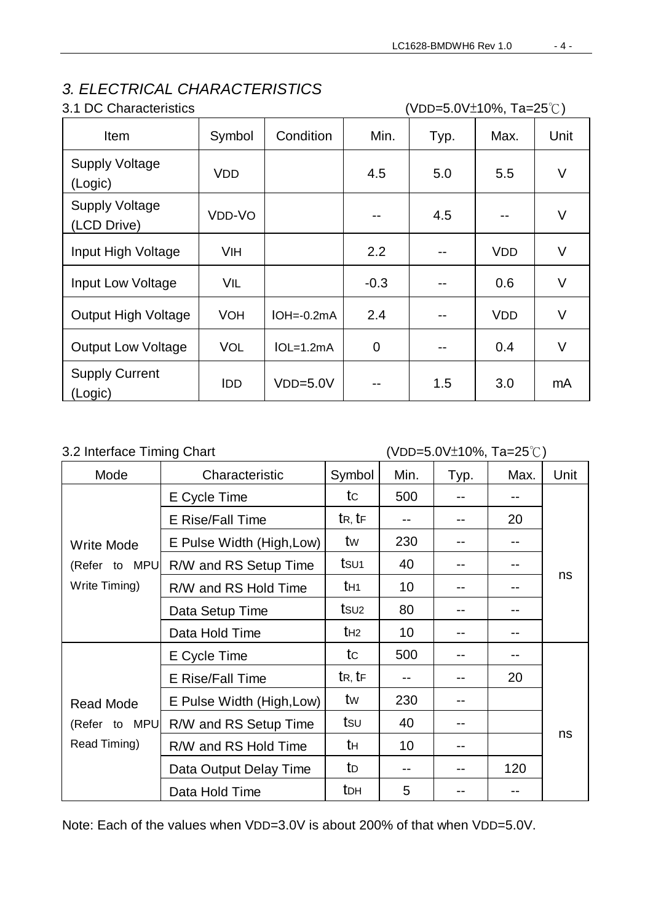#### *3. ELECTRICAL CHARACTERISTICS*

3.1 DC Characteristics (VDD=5.0V±10%, Ta=25℃)

| Item                                 | Symbol     | Condition      | Min.           | Typ. | Max.       | Unit   |
|--------------------------------------|------------|----------------|----------------|------|------------|--------|
| <b>Supply Voltage</b><br>(Logic)     | <b>VDD</b> |                | 4.5            | 5.0  | 5.5        | $\vee$ |
| <b>Supply Voltage</b><br>(LCD Drive) | VDD-VO     |                | --             | 4.5  |            | V      |
| Input High Voltage                   | <b>VIH</b> |                | 2.2            | --   | <b>VDD</b> | V      |
| Input Low Voltage                    | VIL        |                | $-0.3$         |      | 0.6        | V      |
| <b>Output High Voltage</b>           | <b>VOH</b> | $IOH = -0.2mA$ | 2.4            |      | <b>VDD</b> | $\vee$ |
| <b>Output Low Voltage</b>            | <b>VOL</b> | $IOL=1.2mA$    | $\overline{0}$ | --   | 0.4        | V      |
| <b>Supply Current</b><br>(Logic)     | <b>IDD</b> | $VDD=5.0V$     |                | 1.5  | 3.0        | mA     |

#### 3.2 Interface Timing Chart (VDD=5.0V±10%, Ta=25℃)

| Mode              | Characteristic            | Symbol                            | Min.            | Typ. | Max. | Unit |  |
|-------------------|---------------------------|-----------------------------------|-----------------|------|------|------|--|
|                   | E Cycle Time              | tc                                | 500             |      | --   |      |  |
|                   | E Rise/Fall Time          | $t_{\mathsf{R},\,}t_{\mathsf{F}}$ |                 |      | 20   |      |  |
| <b>Write Mode</b> | E Pulse Width (High, Low) | tw                                | 230             |      | --   |      |  |
| (Refer to MPU)    | R/W and RS Setup Time     | tsu <sub>1</sub>                  | 40              |      |      |      |  |
| Write Timing)     | R/W and RS Hold Time      | t <sub>H1</sub>                   | 10              |      | --   | ns   |  |
|                   | Data Setup Time           | $t$ su <sub>2</sub>               | 80              |      |      |      |  |
|                   | Data Hold Time            | $t_{H2}$                          | 10 <sup>°</sup> |      | --   |      |  |
|                   | E Cycle Time              | tc                                | 500             |      | --   |      |  |
|                   | E Rise/Fall Time          | $t_{R, t_{F}}$                    |                 |      | 20   |      |  |
| <b>Read Mode</b>  | E Pulse Width (High, Low) | tw                                | 230             |      |      |      |  |
| (Refer to MPU     | R/W and RS Setup Time     | tsu                               | 40              |      |      |      |  |
| Read Timing)      | R/W and RS Hold Time      | tн                                | 10              |      |      | ns   |  |
|                   | Data Output Delay Time    | to                                |                 |      | 120  |      |  |
|                   | Data Hold Time            | t <sub>DH</sub>                   | 5               |      | --   |      |  |

Note: Each of the values when VDD=3.0V is about 200% of that when VDD=5.0V.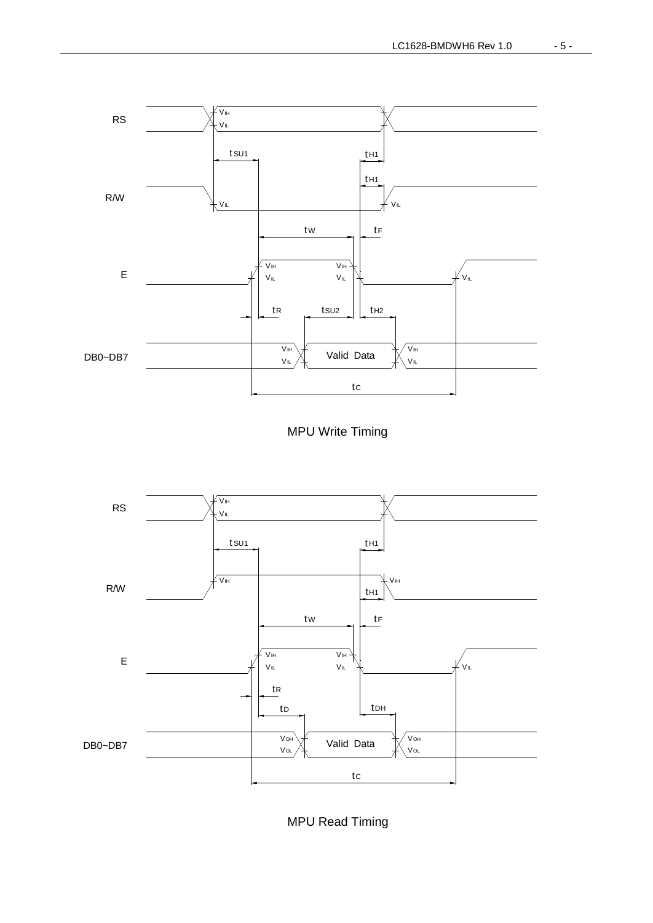





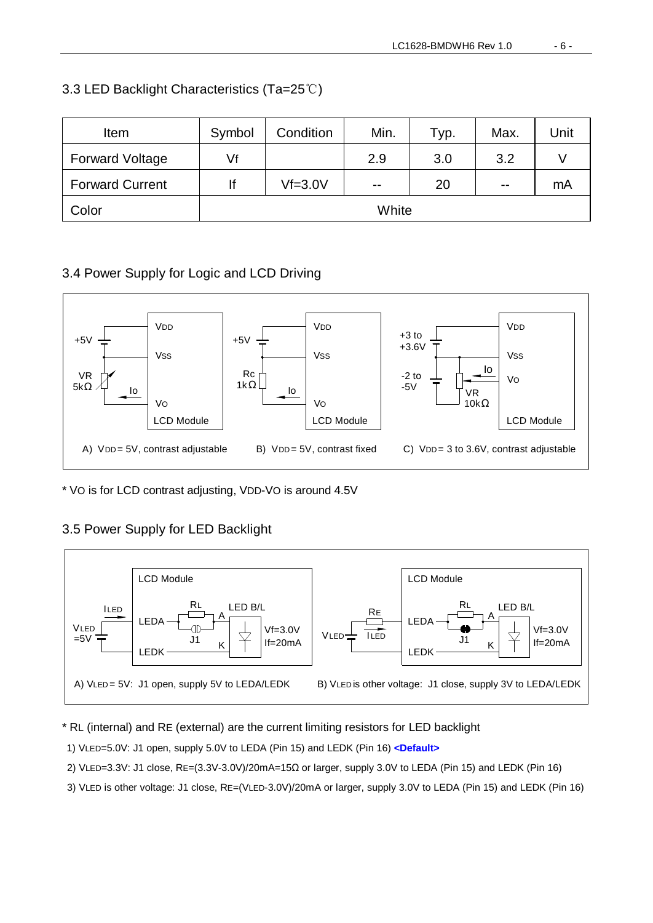| Item                   | Symbol | Condition | Min.                     | Тур. | Max.  | Unit |
|------------------------|--------|-----------|--------------------------|------|-------|------|
| <b>Forward Voltage</b> | Vf     |           | 2.9                      | 3.0  | 3.2   |      |
| <b>Forward Current</b> | lf     | $Vf=3.0V$ | $\overline{\phantom{m}}$ | 20   | $- -$ | mA   |
| Color                  | White  |           |                          |      |       |      |

#### 3.3 LED Backlight Characteristics (Ta=25℃)

#### 3.4 Power Supply for Logic and LCD Driving



\* VO is for LCD contrast adjusting, VDD-VO is around 4.5V

#### 3.5 Power Supply for LED Backlight



#### \* RL (internal) and RE (external) are the current limiting resistors for LED backlight

1) VLED=5.0V: J1 open, supply 5.0V to LEDA (Pin 15) and LEDK (Pin 16) **<Default>**

- 2) VLED=3.3V: J1 close, RE=(3.3V-3.0V)/20mA=15Ω or larger, supply 3.0V to LEDA (Pin 15) and LEDK (Pin 16)
- 3) VLED is other voltage: J1 close, RE=(VLED-3.0V)/20mA or larger, supply 3.0V to LEDA (Pin 15) and LEDK (Pin 16)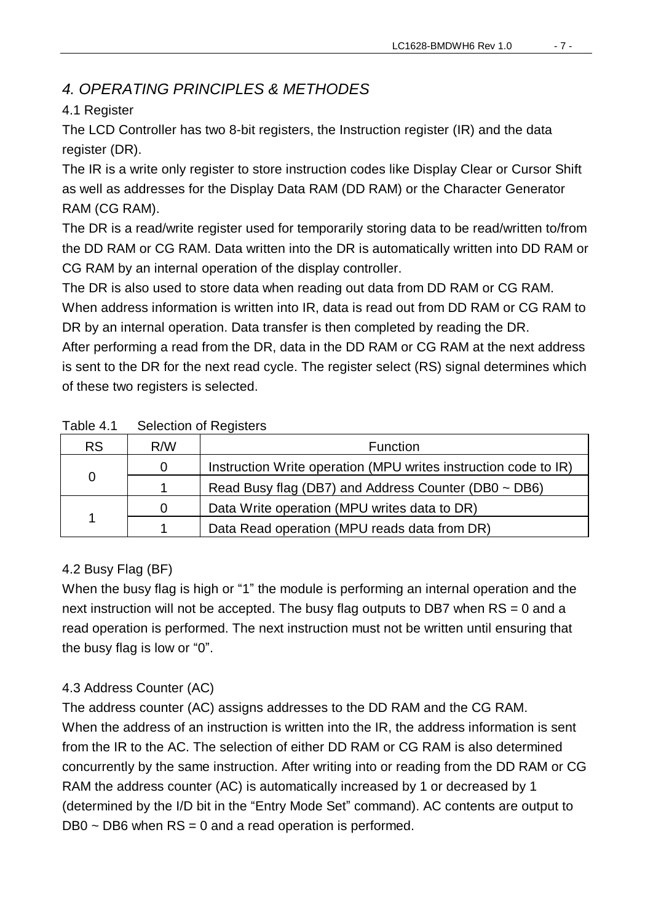#### *4. OPERATING PRINCIPLES & METHODES*

#### 4.1 Register

The LCD Controller has two 8-bit registers, the Instruction register (IR) and the data register (DR).

The IR is a write only register to store instruction codes like Display Clear or Cursor Shift as well as addresses for the Display Data RAM (DD RAM) or the Character Generator RAM (CG RAM).

The DR is a read/write register used for temporarily storing data to be read/written to/from the DD RAM or CG RAM. Data written into the DR is automatically written into DD RAM or CG RAM by an internal operation of the display controller.

The DR is also used to store data when reading out data from DD RAM or CG RAM.

When address information is written into IR, data is read out from DD RAM or CG RAM to DR by an internal operation. Data transfer is then completed by reading the DR.

After performing a read from the DR, data in the DD RAM or CG RAM at the next address is sent to the DR for the next read cycle. The register select (RS) signal determines which of these two registers is selected.

| <b>RS</b> | R/W | <b>Function</b>                                                 |
|-----------|-----|-----------------------------------------------------------------|
|           | 0   | Instruction Write operation (MPU writes instruction code to IR) |
| 0         |     | Read Busy flag (DB7) and Address Counter (DB0 ~ DB6)            |
|           | 0   | Data Write operation (MPU writes data to DR)                    |
| 1         |     | Data Read operation (MPU reads data from DR)                    |

#### Table 4.1 Selection of Registers

#### 4.2 Busy Flag (BF)

When the busy flag is high or "1" the module is performing an internal operation and the next instruction will not be accepted. The busy flag outputs to DB7 when  $RS = 0$  and a read operation is performed. The next instruction must not be written until ensuring that the busy flag is low or "0".

#### 4.3 Address Counter (AC)

The address counter (AC) assigns addresses to the DD RAM and the CG RAM. When the address of an instruction is written into the IR, the address information is sent from the IR to the AC. The selection of either DD RAM or CG RAM is also determined concurrently by the same instruction. After writing into or reading from the DD RAM or CG RAM the address counter (AC) is automatically increased by 1 or decreased by 1 (determined by the I/D bit in the "Entry Mode Set" command). AC contents are output to  $DB0 \sim DB6$  when  $RS = 0$  and a read operation is performed.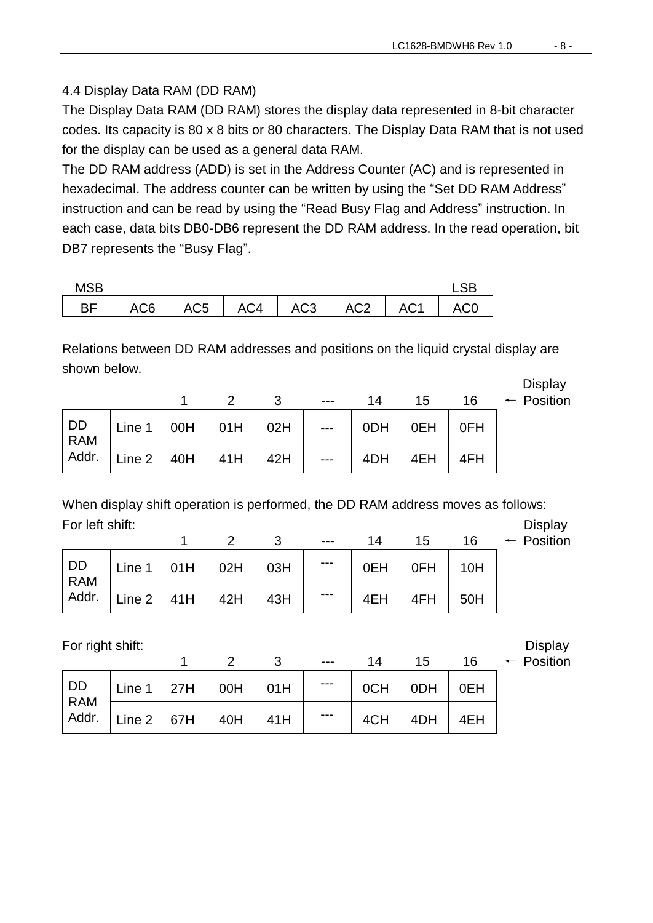#### 4.4 Display Data RAM (DD RAM)

The Display Data RAM (DD RAM) stores the display data represented in 8-bit character codes. Its capacity is 80 x 8 bits or 80 characters. The Display Data RAM that is not used for the display can be used as a general data RAM.

The DD RAM address (ADD) is set in the Address Counter (AC) and is represented in hexadecimal. The address counter can be written by using the "Set DD RAM Address" instruction and can be read by using the "Read Busy Flag and Address" instruction. In each case, data bits DB0-DB6 represent the DD RAM address. In the read operation, bit DB7 represents the "Busy Flag".

| <b>MSB</b> |  |  |  |                                              |
|------------|--|--|--|----------------------------------------------|
|            |  |  |  | BF   AC6   AC5   AC4   AC3   AC2   AC1   AC0 |

Relations between DD RAM addresses and positions on the liquid crystal display are shown below.

|           |        |     | $\mathcal{P}$ | 3   | $---$ | 14  | 15  | 16  | Display<br>$\leftarrow$ Position |
|-----------|--------|-----|---------------|-----|-------|-----|-----|-----|----------------------------------|
| DD<br>RAM | Line 1 | 00H | 01H           | 02H | $---$ | 0DH | 0EH | 0FH |                                  |
| Addr.     | Line 2 | 40H | 41H           | 42H | $---$ | 4DH | 4EH | 4FH |                                  |

When display shift operation is performed, the DD RAM address moves as follows: For left shift: Display

|                                                                                                                                       |  | $--$            | 14 | 15                | $-1$ $-1$<br>16 $\leftarrow$ Position |
|---------------------------------------------------------------------------------------------------------------------------------------|--|-----------------|----|-------------------|---------------------------------------|
| DD Line 1 01H 02H 03H                                                                                                                 |  | $\sim$ - $\sim$ |    | $OEH$   OFH   10H |                                       |
| $\left  \begin{array}{c} 1.6 \text{ m} \\ 1.6 \text{ m} \end{array} \right $ Line 2 41H $\left  42H \right $ 43H $\left  43H \right $ |  | $---$           |    | $4EH$ $4FH$ $50H$ |                                       |

For right shift:<br> $\begin{array}{ccccccc}\n1 & 2 & 3 & \dots & 14 & 15 & 16 & \leftarrow \text{ Position}\n\end{array}$ 

|  | ו וטאונט ו |  |
|--|------------|--|
|  |            |  |
|  |            |  |

|           |                      |                      |     |     | $---$ | 14  | 15              | 16  | $\leftarrow$ Position |
|-----------|----------------------|----------------------|-----|-----|-------|-----|-----------------|-----|-----------------------|
| DD<br>RAM |                      | Line 1   27H $\vert$ | 00H | 01H | ---   | 0CH | 0 <sub>DH</sub> | 0EH |                       |
| Addr.     | $\vert$ Line 2   67H |                      | 40H | 41H | ---   | 4CH | 4DH             | 4EH |                       |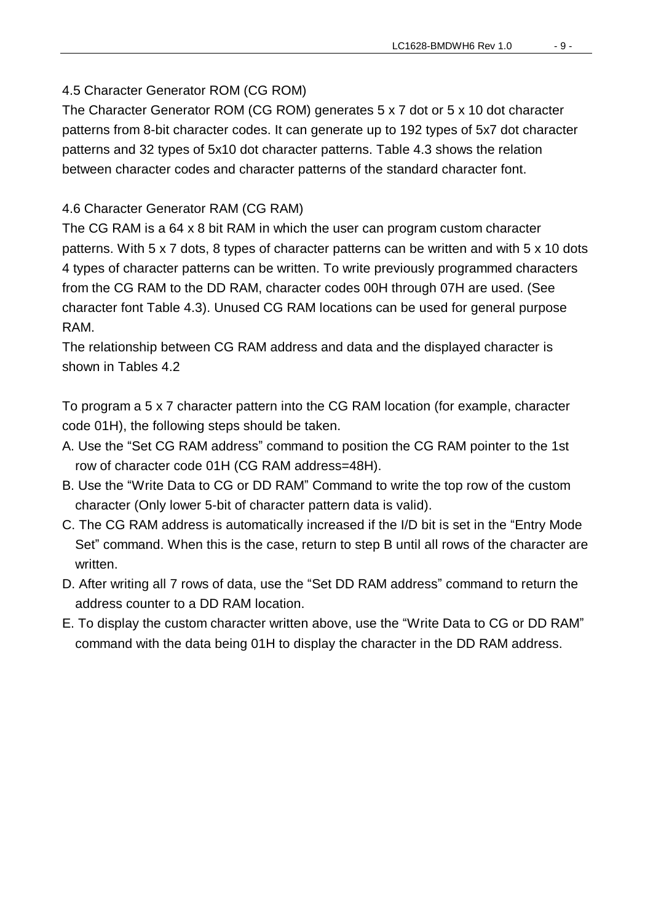#### 4.5 Character Generator ROM (CG ROM)

The Character Generator ROM (CG ROM) generates 5 x 7 dot or 5 x 10 dot character patterns from 8-bit character codes. It can generate up to 192 types of 5x7 dot character patterns and 32 types of 5x10 dot character patterns. Table 4.3 shows the relation between character codes and character patterns of the standard character font.

#### 4.6 Character Generator RAM (CG RAM)

The CG RAM is a 64 x 8 bit RAM in which the user can program custom character patterns. With 5 x 7 dots, 8 types of character patterns can be written and with 5 x 10 dots 4 types of character patterns can be written. To write previously programmed characters from the CG RAM to the DD RAM, character codes 00H through 07H are used. (See character font Table 4.3). Unused CG RAM locations can be used for general purpose RAM.

The relationship between CG RAM address and data and the displayed character is shown in Tables 4.2

To program a 5 x 7 character pattern into the CG RAM location (for example, character code 01H), the following steps should be taken.

- A. Use the "Set CG RAM address" command to position the CG RAM pointer to the 1st row of character code 01H (CG RAM address=48H).
- B. Use the "Write Data to CG or DD RAM" Command to write the top row of the custom character (Only lower 5-bit of character pattern data is valid).
- C. The CG RAM address is automatically increased if the I/D bit is set in the "Entry Mode Set" command. When this is the case, return to step B until all rows of the character are written.
- D. After writing all 7 rows of data, use the "Set DD RAM address" command to return the address counter to a DD RAM location.
- E. To display the custom character written above, use the "Write Data to CG or DD RAM" command with the data being 01H to display the character in the DD RAM address.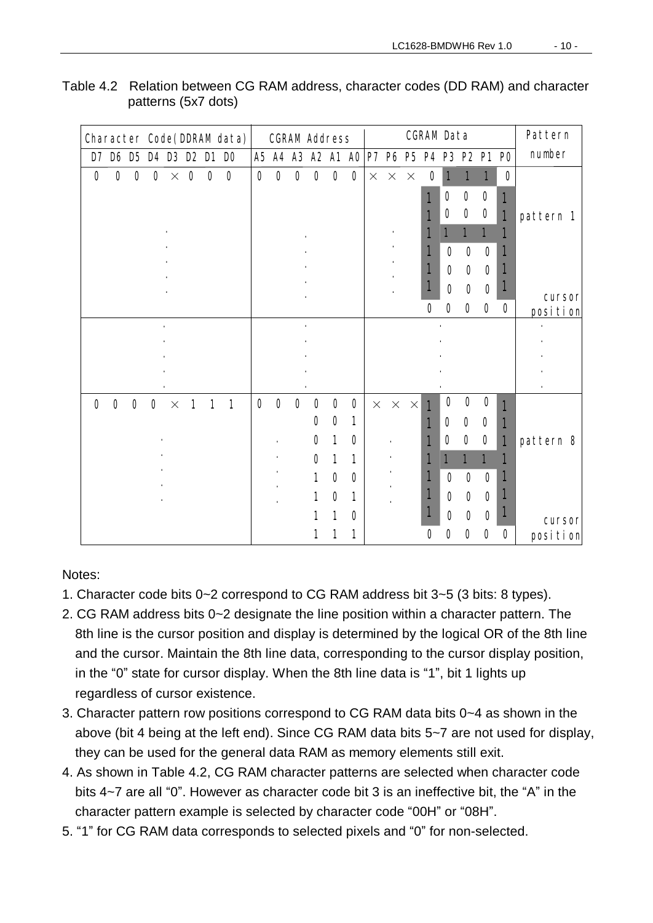| Character Code(LIDRAVIdata) | <b>CGRAVAGETERS</b>                                                                    | <b>CGRAVIData</b>                         | <b>Pattern</b> |
|-----------------------------|----------------------------------------------------------------------------------------|-------------------------------------------|----------------|
| $D \nabla$ DSD5D4D8D2D1D0   |                                                                                        | AS AA AS A2 A1 AO P7 P6 P5 P4 P3 P2 P1 PO | rumber         |
| $0$ 0 0 0 $\times$ 0 0 0    | $000000 \times x x$                                                                    | O <sub>1</sub><br>1<br>1<br>О             |                |
|                             |                                                                                        | 000<br>1                                  |                |
|                             |                                                                                        | $\mathbf{o}$ o<br>O<br>1                  | pattern 1      |
|                             |                                                                                        |                                           |                |
|                             |                                                                                        | 000                                       |                |
|                             |                                                                                        | 1<br>000                                  |                |
|                             |                                                                                        |                                           |                |
|                             |                                                                                        | 000                                       | arsor          |
|                             |                                                                                        | $\mathbf{o}$<br>0000                      | position       |
|                             |                                                                                        |                                           |                |
|                             |                                                                                        |                                           |                |
|                             |                                                                                        |                                           |                |
|                             |                                                                                        |                                           |                |
| $0000 \times$<br>111        | $\mathbf{O}$ $\mathbf{O}$ $\mathbf{O}$ $\mathbf{O}$ $\mathbf{O}$ $\mathbf{O}$ $\times$ | 000<br>$\times$ $\times$<br>1             |                |
|                             | O O<br>1                                                                               | 0 O O<br>1                                |                |
|                             | $\mathbf{o}$<br>$\blacksquare$<br>O                                                    | $\mathbf{o}$ o<br>O<br>1<br>1             | pattern 8      |
|                             | O <sub>1</sub><br>1                                                                    |                                           |                |
|                             | $\mathbf{o}$ o<br>1                                                                    | 000<br>1                                  |                |
|                             | $\mathbf{o}$<br>1                                                                      | 1<br>000                                  |                |
|                             | 1                                                                                      |                                           |                |
|                             | 1<br>Q                                                                                 | 0 O O                                     | arsor          |
|                             |                                                                                        | Ο<br>000<br>$\mathbf{o}$                  | position       |

Table 4.2 Relation between CG RAM address, character codes (DD RAM) and character patterns (5x7 dots)

Notes:

- 1. Character code bits 0~2 correspond to CG RAM address bit 3~5 (3 bits: 8 types).
- 2. CG RAM address bits 0~2 designate the line position within a character pattern. The 8th line is the cursor position and display is determined by the logical OR of the 8th line and the cursor. Maintain the 8th line data, corresponding to the cursor display position, in the "0" state for cursor display. When the 8th line data is "1", bit 1 lights up regardless of cursor existence.
- 3. Character pattern row positions correspond to CG RAM data bits 0~4 as shown in the above (bit 4 being at the left end). Since CG RAM data bits 5~7 are not used for display, they can be used for the general data RAM as memory elements still exit.
- 4. As shown in Table 4.2, CG RAM character patterns are selected when character code bits 4~7 are all "0". However as character code bit 3 is an ineffective bit, the "A" in the character pattern example is selected by character code "00H" or "08H".
- 5. "1" for CG RAM data corresponds to selected pixels and "0" for non-selected.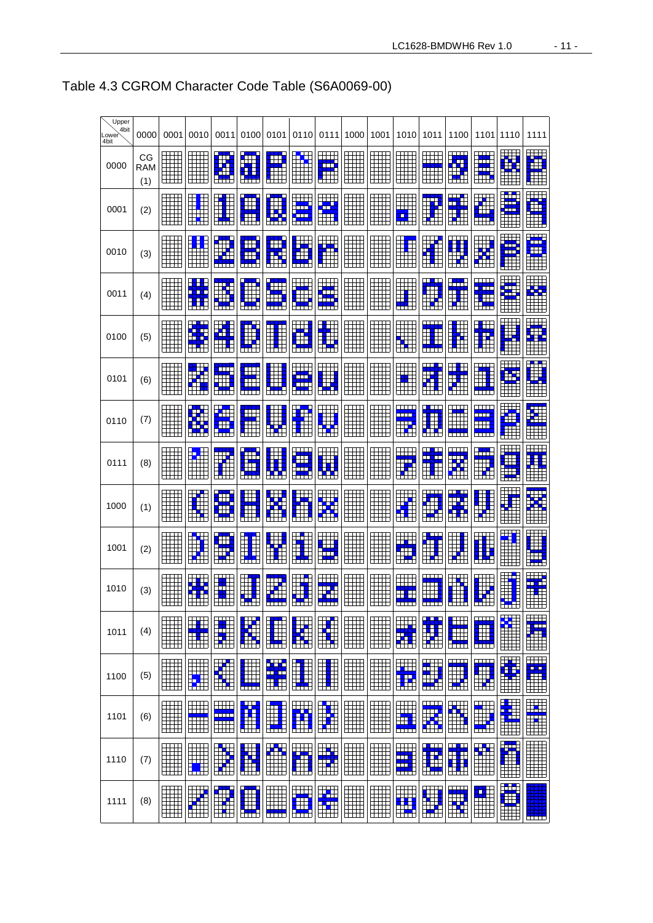| Upper<br>4bit |            |                                                                                  |                                      |                                            |                                                                                                                         |                               |                                                  |                                                                                                           |         |                            |                                               |                                  |                               |                                                                                                                                                                                                                                      |                                     |                             |
|---------------|------------|----------------------------------------------------------------------------------|--------------------------------------|--------------------------------------------|-------------------------------------------------------------------------------------------------------------------------|-------------------------------|--------------------------------------------------|-----------------------------------------------------------------------------------------------------------|---------|----------------------------|-----------------------------------------------|----------------------------------|-------------------------------|--------------------------------------------------------------------------------------------------------------------------------------------------------------------------------------------------------------------------------------|-------------------------------------|-----------------------------|
| Lower<br>4bit | 0000<br>СG | 0001                                                                             | 0010<br>$\blacksquare$               | 0011                                       | 0100<br>Ø                                                                                                               | 0101<br>EB.                   | $\frac{1}{\sqrt{2}}$                             | 0110 0111                                                                                                 | 1000    | 1001                       | 1010                                          | 1011                             | 1100<br><b>XXX</b>            | 1101                                                                                                                                                                                                                                 | 1110                                | 1111<br><b>EXAMPLE</b>      |
| 0000          | RAM<br>(1) |                                                                                  | H                                    | <b>Rep</b><br><b>CONTRACT</b>              | E<br><b>NASA</b>                                                                                                        | <b>TILL</b>                   | H<br>an an a                                     | <b>KANA</b><br>an m                                                                                       | I<br>سن | H                          |                                               | الكاتات                          | ₩<br>$\frac{1}{2}$            | an dari Santa Santa Bagai dan Santa Bagai dan Santa Bagai dan Santa Bagai dari Santa Bagai dalam dan sama dala<br>Santa Bagai dan Santa Bagai dan Santa Bagai dan Santa Bagai dan Santa Bagai dan Santa Bagai dalam sama dalam s<br> |                                     | $\overline{\phantom{a}}$    |
| 0001          | (2)        |                                                                                  |                                      | $\frac{1}{\sqrt{2}}$                       | E                                                                                                                       | S<br><u>star</u>              | <b>TANK</b>                                      | H.                                                                                                        |         |                            |                                               |                                  | E<br><u>TXX</u>               | <b>XXXXX</b>                                                                                                                                                                                                                         | H H<br>$\mathbb{R}^2$<br>S<br>H     | <b>TANA</b>                 |
| 0010          | (3)        | ĦĦ<br>⊞⊞<br>$\Box$                                                               | E <mark>SES</mark> E<br>Eliment<br>▦ | S D<br><b>Kara</b><br><u>and</u>           | ا الاتاثا                                                                                                               | FFF<br><u> SHT</u>            | <b>The Second</b><br><u>SKSK</u>                 | $\begin{array}{c} \begin{array}{c} \begin{array}{c} \begin{array}{c} \end{array} \end{array} \end{array}$ | I<br>⊞⊞ | H<br>ĦĦ                    |                                               | H<br><b>KAR</b>                  |                               | H                                                                                                                                                                                                                                    | <b>Ext</b><br>٢Ħ                    | البابا<br><b>Fried</b><br>Œ |
| 0011          | (4)        | .<br>▦<br>$\begin{array}{c} \begin{array}{c} \text{+++} \end{array} \end{array}$ |                                      |                                            | Œ<br>N<br>Nati                                                                                                          | <b>KITE</b><br>NNNH 1         | $\overline{\phantom{a}}$<br>ENNE                 | ann .                                                                                                     | .       | ----<br>H                  | $\frac{1}{2}$<br>سما                          | للكالب                           |                               | <u> 11 Ma</u>                                                                                                                                                                                                                        |                                     | $\Box$                      |
| 0100          | (5)        |                                                                                  |                                      | <b>ANA</b><br><u>ssex</u><br>The           |                                                                                                                         |                               | <u>a masan</u>                                   | $\overline{\mathbf{X}}$                                                                                   |         |                            |                                               |                                  |                               |                                                                                                                                                                                                                                      | d di k                              | <b>Tari</b><br><b>THE</b>   |
| 0101          | (6)        | $\Box$<br>E.                                                                     |                                      | NAMA<br>Kalifaha<br>Kalifaha               | <b>THE</b><br><u>ss</u><br><b>XXXXX</b>                                                                                 | <b>NST</b>                    | <u>ska</u><br>Samar<br><b>The Second Service</b> |                                                                                                           |         |                            |                                               | XXXZZ                            |                               |                                                                                                                                                                                                                                      |                                     |                             |
| 0110          | (7)        | Ħ<br>Ħ                                                                           | ₩                                    | $\frac{1}{2}$<br>Œ<br>H                    | W                                                                                                                       |                               |                                                  |                                                                                                           |         |                            | الابارال<br><b>THE L</b><br><b>The Second</b> |                                  | NZ I<br>$\Box$<br><u>ann </u> | لا الأحاد الأ<br><u>ann.</u><br>$\overline{\phantom{a}}$<br><b>THEFT</b>                                                                                                                                                             | $\blacksquare$                      | ZZ<br>ZZ<br>ZXZZZ<br>T      |
| 0111          | (8)        | ĦĦ<br>EH I                                                                       |                                      | <u>rang p</u>                              | $\begin{array}{c} \begin{array}{c} \begin{array}{c} \end{array} \end{array} \end{array}$<br><u>is s</u><br><b>INSIS</b> | <u>HH</u>                     | <b>Kara</b><br>Kara<br>₩<br>$\overline{1}$       | <b>XXXX</b><br><u>prv</u>                                                                                 |         |                            |                                               | <u>INISI</u><br>Inisia<br>Inisia | <u>HH</u>                     | EXTERNAL<br>External<br><u>a z</u>                                                                                                                                                                                                   | प्ति                                |                             |
| 1000          | (1)        | ĦĦ                                                                               | <u>and</u>                           | <b>Till</b><br><b>EXAMPLE</b>              |                                                                                                                         | N<br>Here<br><b>September</b> | <u> Timbul Tim</u>                               |                                                                                                           |         | H                          | <u>III.</u><br>$\frac{1}{\sqrt{2}}$           | <b>ZNAN</b><br>$\blacksquare$    | Œ<br><u>e gr</u>              | $\blacksquare$                                                                                                                                                                                                                       |                                     |                             |
| 1001          | (2)        | er i                                                                             |                                      | Œ<br><b>ASS</b><br>$\blacksquare$          |                                                                                                                         |                               |                                                  | HAND                                                                                                      |         | TTTTTTTTTT <i>T</i><br>ili |                                               | $\blacksquare$                   | ‼<br>BË                       | $\Box \Box \Box$                                                                                                                                                                                                                     | 里                                   | P× 1                        |
| 1010          | (3)        | Ħ<br>⊞                                                                           | <u>sa k</u><br><b>LILLE</b>          | <b>uu</b> u<br><b>XXX</b><br>الأثنا التلتك | $\Box$<br><b>KARA</b>                                                                                                   |                               | التثنا انتثاث                                    | XXXXXX<br>an m                                                                                            |         | التلثا ا                   | <b>THE REAL</b>                               | <b>under</b>                     | ┳<br><b>Kara</b><br>an an     |                                                                                                                                                                                                                                      | $\left  \frac{1}{\sqrt{2}} \right $ | <u>na za</u><br>▦           |
| 1011          | (4)        |                                                                                  |                                      |                                            |                                                                                                                         |                               |                                                  |                                                                                                           |         |                            | EN EN                                         | ZXXX<br>Here III<br>Here III     |                               | <b>NAMA</b><br><b>XXXXX</b>                                                                                                                                                                                                          |                                     | E                           |
| 1100          | (5)        |                                                                                  |                                      |                                            |                                                                                                                         |                               |                                                  |                                                                                                           |         |                            |                                               |                                  |                               | ZNNZ<br>Zna                                                                                                                                                                                                                          |                                     |                             |
| 1101          | (6)        |                                                                                  |                                      | $\Box$                                     |                                                                                                                         |                               |                                                  |                                                                                                           |         |                            | níní n                                        |                                  | $\Box$                        |                                                                                                                                                                                                                                      |                                     | <u>HH</u><br>Ì              |
| 1110          | (7)        |                                                                                  |                                      |                                            | N<br>N<br>N<br>N N N N N N N N N N N N N                                                                                | <b>Kar</b><br>$\boxplus$      |                                                  |                                                                                                           |         |                            | HX                                            | <b>EXAMPLE</b><br>HNX            |                               | H<br>⊞⊞                                                                                                                                                                                                                              |                                     |                             |
| 1111          | (8)        | Ħ<br>$\overline{a}$                                                              |                                      | <b>Kara</b><br>⊞                           | KARA<br>Kara Kara<br>Kara Kara                                                                                          | Ħ<br><b>NANNA</b>             | $\frac{1}{\sqrt{2}}$<br><b>The Second</b>        |                                                                                                           |         |                            |                                               |                                  |                               | $\Box$                                                                                                                                                                                                                               |                                     | a da ba                     |

#### Table 4.3 CGROM Character Code Table (S6A0069-00)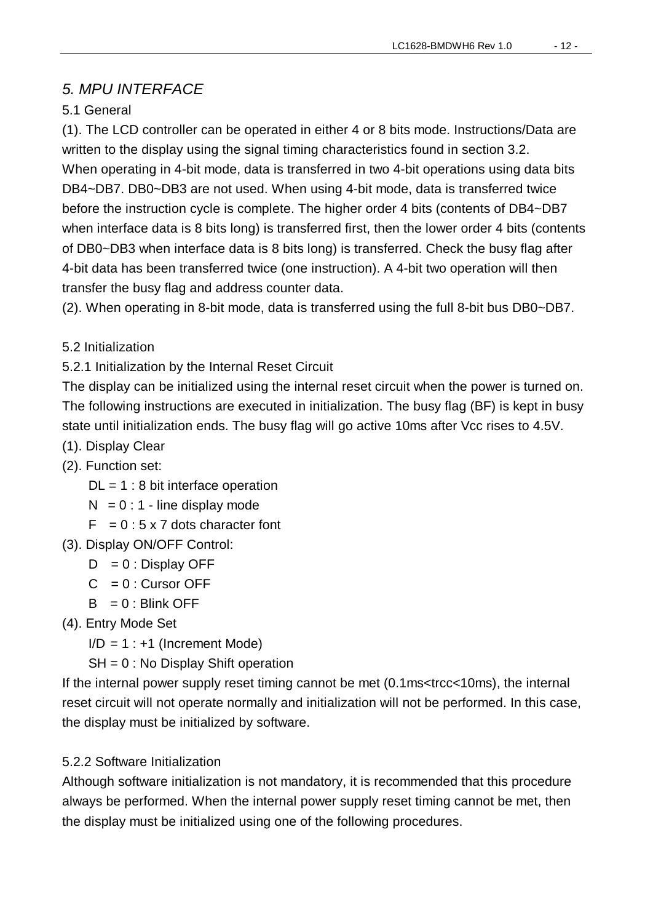#### *5. MPU INTERFACE*

#### 5.1 General

(1). The LCD controller can be operated in either 4 or 8 bits mode. Instructions/Data are written to the display using the signal timing characteristics found in section 3.2. When operating in 4-bit mode, data is transferred in two 4-bit operations using data bits DB4~DB7. DB0~DB3 are not used. When using 4-bit mode, data is transferred twice before the instruction cycle is complete. The higher order 4 bits (contents of DB4~DB7 when interface data is 8 bits long) is transferred first, then the lower order 4 bits (contents of DB0~DB3 when interface data is 8 bits long) is transferred. Check the busy flag after 4-bit data has been transferred twice (one instruction). A 4-bit two operation will then transfer the busy flag and address counter data.

(2). When operating in 8-bit mode, data is transferred using the full 8-bit bus DB0~DB7.

#### 5.2 Initialization

5.2.1 Initialization by the Internal Reset Circuit

The display can be initialized using the internal reset circuit when the power is turned on. The following instructions are executed in initialization. The busy flag (BF) is kept in busy state until initialization ends. The busy flag will go active 10ms after Vcc rises to 4.5V.

- (1). Display Clear
- (2). Function set:
	- $DL = 1:8$  bit interface operation
	- $N = 0:1$  line display mode
	- $F = 0:5 \times 7$  dots character font
- (3). Display ON/OFF Control:
	- $D = 0$ : Display OFF
	- $C = 0$ : Cursor OFF
	- $B = 0$ : Blink OFF
- (4). Entry Mode Set
	- $I/D = 1 : +1$  (Increment Mode)
	- SH = 0 : No Display Shift operation

If the internal power supply reset timing cannot be met (0.1ms<trcc<10ms), the internal reset circuit will not operate normally and initialization will not be performed. In this case, the display must be initialized by software.

#### 5.2.2 Software Initialization

Although software initialization is not mandatory, it is recommended that this procedure always be performed. When the internal power supply reset timing cannot be met, then the display must be initialized using one of the following procedures.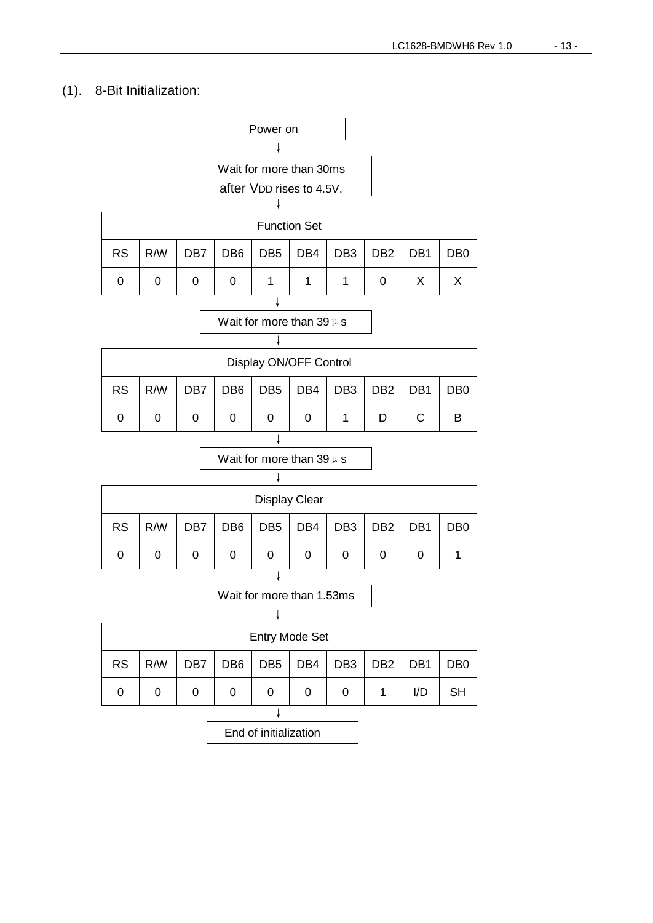#### (1). 8-Bit Initialization:

|           |                                                                                                                                     |   | Wait for more than 30ms |                     |  |  |   |   |   |  |  |
|-----------|-------------------------------------------------------------------------------------------------------------------------------------|---|-------------------------|---------------------|--|--|---|---|---|--|--|
|           | after VDD rises to 4.5V.                                                                                                            |   |                         |                     |  |  |   |   |   |  |  |
|           |                                                                                                                                     |   |                         |                     |  |  |   |   |   |  |  |
|           |                                                                                                                                     |   |                         | <b>Function Set</b> |  |  |   |   |   |  |  |
| <b>RS</b> | DB <sub>3</sub><br>R/W<br>DB <sub>6</sub><br>DB <sub>5</sub><br>DB4<br>DB <sub>2</sub><br>DB1<br>DB <sub>7</sub><br>DB <sub>0</sub> |   |                         |                     |  |  |   |   |   |  |  |
| 0         | 0                                                                                                                                   | 0 | 0<br>1                  |                     |  |  | 0 | X | Х |  |  |
|           |                                                                                                                                     |   |                         |                     |  |  |   |   |   |  |  |

Wait for more than  $39 \mu s$ 

| Display ON/OFF Control                                                                                                 |  |   |   |  |  |  |   |   |   |  |  |
|------------------------------------------------------------------------------------------------------------------------|--|---|---|--|--|--|---|---|---|--|--|
| $\mid$ DB2 $\mid$ DB1<br><b>RS</b><br>DB5<br>DB4<br>DB <sub>3</sub><br>DB <sub>6</sub><br>R/W<br>DB7<br>D <sub>B</sub> |  |   |   |  |  |  |   |   |   |  |  |
| ∩                                                                                                                      |  | 0 | 0 |  |  |  | D | C | B |  |  |
|                                                                                                                        |  |   |   |  |  |  |   |   |   |  |  |

Wait for more than  $39 \mu s$ 

| <b>Display Clear</b>                                                                            |  |   |  |   |   |  |   |  |  |  |  |
|-------------------------------------------------------------------------------------------------|--|---|--|---|---|--|---|--|--|--|--|
| <b>RS</b><br>DB <sub>5</sub><br>DB4   DB3   DB2<br>DB6<br>DB7<br>R/W<br>DB1<br>D <sub>B</sub> 0 |  |   |  |   |   |  |   |  |  |  |  |
| 0                                                                                               |  | 0 |  | 0 | 0 |  | 0 |  |  |  |  |
|                                                                                                 |  |   |  |   |   |  |   |  |  |  |  |

Wait for more than 1.53ms

| <b>Entry Mode Set</b>                                                                                                   |  |  |  |  |  |  |  |  |  |  |  |
|-------------------------------------------------------------------------------------------------------------------------|--|--|--|--|--|--|--|--|--|--|--|
| DB <sub>5</sub><br>$\mid$ DB4 $\mid$<br>DB3<br>DB <sub>6</sub><br>DB2 DB1<br><b>RS</b><br>R/W<br>DB7<br>DB <sub>0</sub> |  |  |  |  |  |  |  |  |  |  |  |
| I/D<br>SΗ<br>0<br>0<br>0<br>0<br>0<br>0                                                                                 |  |  |  |  |  |  |  |  |  |  |  |
|                                                                                                                         |  |  |  |  |  |  |  |  |  |  |  |

End of initialization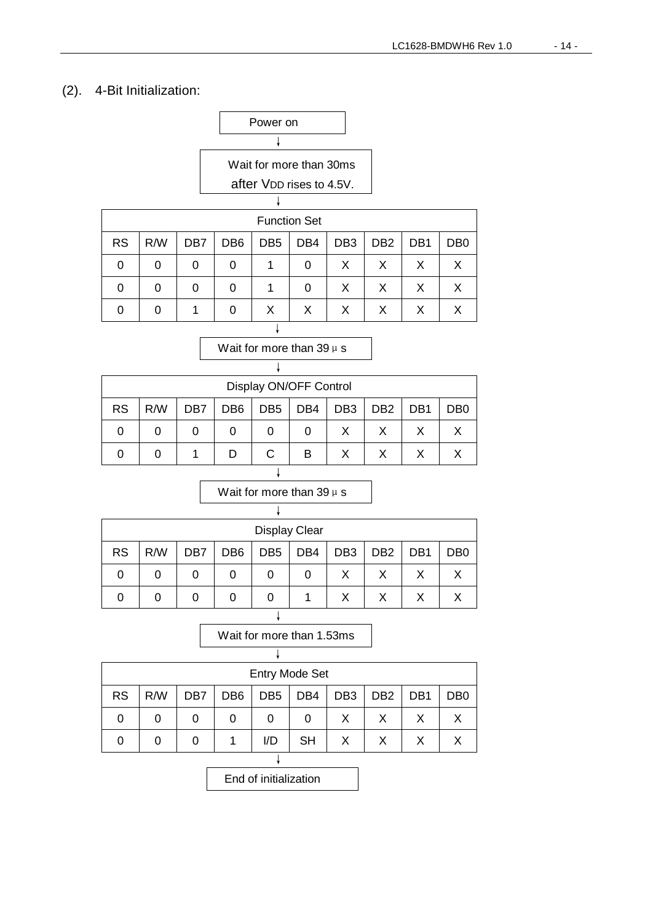#### (2). 4-Bit Initialization:

|           |     |                 | Power on        |                          |                     |                 |                 |                 |                |
|-----------|-----|-----------------|-----------------|--------------------------|---------------------|-----------------|-----------------|-----------------|----------------|
|           |     |                 |                 |                          |                     |                 |                 |                 |                |
|           |     |                 |                 | Wait for more than 30ms  |                     |                 |                 |                 |                |
|           |     |                 |                 | after VDD rises to 4.5V. |                     |                 |                 |                 |                |
|           |     |                 |                 |                          |                     |                 |                 |                 |                |
|           |     |                 |                 |                          | <b>Function Set</b> |                 |                 |                 |                |
| <b>RS</b> | R/W | DB <sub>7</sub> | DB <sub>6</sub> | DB <sub>5</sub>          | DB4                 | DB <sub>3</sub> | D <sub>B2</sub> | DB <sub>1</sub> | D <sub>B</sub> |
|           | O   | 0               |                 |                          |                     | х               |                 | х               |                |

| 0 |  |  |  |  |  |
|---|--|--|--|--|--|
| 0 |  |  |  |  |  |
|   |  |  |  |  |  |

Wait for more than  $39 \mu s$ 

| Display ON/OFF Control                                                                                                                           |   |   |   |   |   |   |   |   |  |  |  |  |
|--------------------------------------------------------------------------------------------------------------------------------------------------|---|---|---|---|---|---|---|---|--|--|--|--|
| <b>RS</b><br>DB <sub>3</sub><br>R/W<br>DB <sub>6</sub><br>DB <sub>2</sub><br>DB <sub>1</sub><br>DB <sub>5</sub><br>DB4<br>DB7<br>DB <sub>0</sub> |   |   |   |   |   |   |   |   |  |  |  |  |
| 0                                                                                                                                                | 0 | 0 | 0 | 0 | 0 | X | X | х |  |  |  |  |
|                                                                                                                                                  |   |   | D |   | В | х | x |   |  |  |  |  |
|                                                                                                                                                  |   |   |   |   |   |   |   |   |  |  |  |  |

|           |     |     |                 | <b>Display Clear</b> |     |                 |                 |                 |                 |
|-----------|-----|-----|-----------------|----------------------|-----|-----------------|-----------------|-----------------|-----------------|
| <b>RS</b> | R/W | DB7 | DB <sub>6</sub> | DB <sub>5</sub>      | DB4 | DB <sub>3</sub> | DB <sub>2</sub> | DB <sub>1</sub> | DB <sub>0</sub> |
| 0         | 0   | 0   | 0               | 0                    | 0   | X               |                 | Х               |                 |
|           |     | 0   |                 | 0                    |     | X               |                 | Χ               |                 |
|           |     |     |                 |                      |     |                 |                 |                 |                 |

Wait for more than  $39 \mu s$ 

Wait for more than 1.53ms

|           | <b>Entry Mode Set</b> |     |                 |                 |           |                 |                 |     |                  |  |  |  |
|-----------|-----------------------|-----|-----------------|-----------------|-----------|-----------------|-----------------|-----|------------------|--|--|--|
| <b>RS</b> | R/W                   | DB7 | DB <sub>6</sub> | DB <sub>5</sub> | DB4       | DB <sub>3</sub> | DB <sub>2</sub> | DB1 | D <sub>B</sub> 0 |  |  |  |
| 0         |                       |     | 0               | 0               | 0         | X               | Χ               | Χ   |                  |  |  |  |
| O         |                       |     |                 | I/D             | <b>SH</b> | Χ               | X               | Χ   |                  |  |  |  |
|           |                       |     |                 |                 |           |                 |                 |     |                  |  |  |  |

End of initialization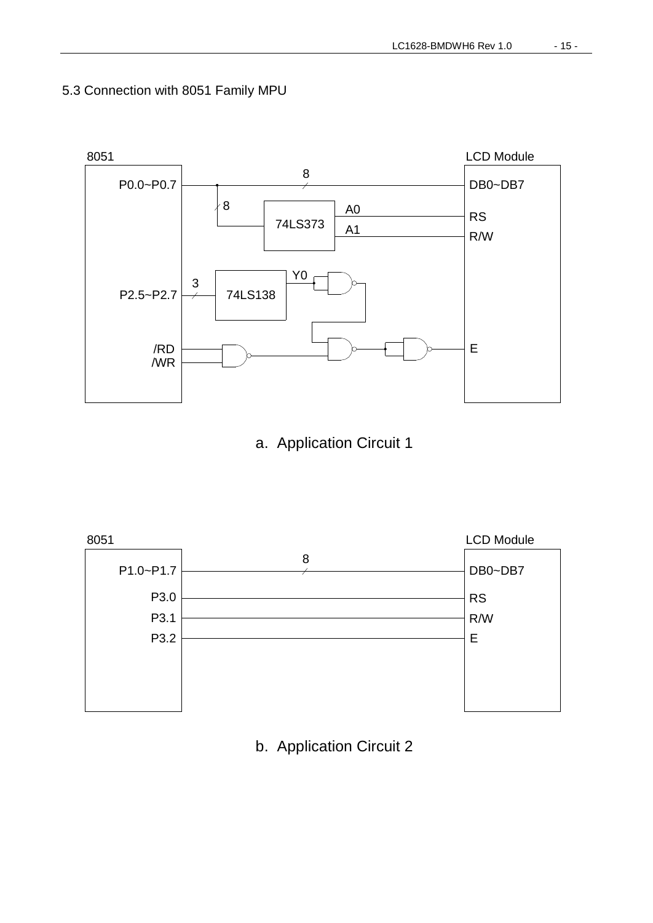

5.3 Connection with 8051 Family MPU

a. Application Circuit 1



b. Application Circuit 2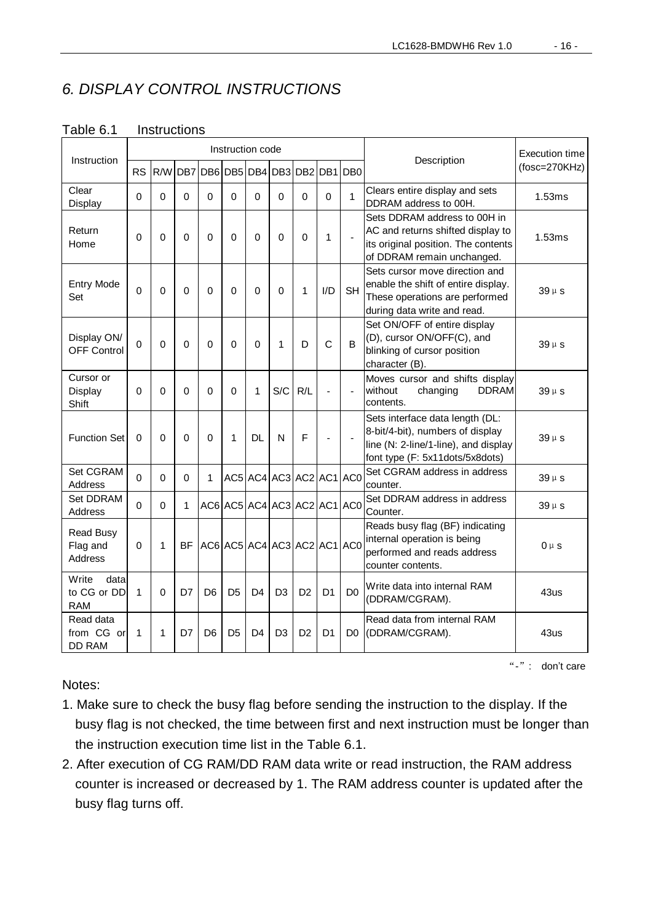#### *6. DISPLAY CONTROL INSTRUCTIONS*

| Instruction                                    |             |              |             |                                     | Instruction code |                |                             |                |                |                | Description                                                                                                                                    | Execution time  |
|------------------------------------------------|-------------|--------------|-------------|-------------------------------------|------------------|----------------|-----------------------------|----------------|----------------|----------------|------------------------------------------------------------------------------------------------------------------------------------------------|-----------------|
|                                                | <b>RS</b>   |              |             | R/W DB7 DB6 DB5 DB4 DB3 DB2 DB1 DB0 |                  |                |                             |                |                |                |                                                                                                                                                | $(fosc=270KHz)$ |
| Clear<br>Display                               | 0           | 0            | 0           | $\Omega$                            | 0                | 0              | $\mathbf 0$                 | 0              | 0              | 1              | Clears entire display and sets<br>DDRAM address to 00H.                                                                                        | 1.53ms          |
| Return<br>Home                                 | $\mathbf 0$ | $\Omega$     | $\Omega$    | $\Omega$                            | $\Omega$         | $\Omega$       | $\Omega$                    | $\mathbf 0$    | 1              | $\blacksquare$ | Sets DDRAM address to 00H in<br>AC and returns shifted display to<br>its original position. The contents<br>of DDRAM remain unchanged.         | 1.53ms          |
| <b>Entry Mode</b><br>Set                       | $\mathbf 0$ | $\Omega$     | $\mathbf 0$ | $\Omega$                            | $\Omega$         | $\mathbf{0}$   | $\Omega$                    | 1              | I/D            | <b>SH</b>      | Sets cursor move direction and<br>enable the shift of entire display.<br>These operations are performed<br>during data write and read.         | $39 \mu s$      |
| Display ON/<br><b>OFF Control</b>              | $\Omega$    | $\Omega$     | $\Omega$    | $\Omega$                            | $\Omega$         | $\mathbf{0}$   | 1                           | D              | C              | B              | Set ON/OFF of entire display<br>(D), cursor ON/OFF(C), and<br>blinking of cursor position<br>character (B).                                    | $39 \mu s$      |
| Cursor or<br>Display<br>Shift                  | 0           | $\Omega$     | 0           | $\Omega$                            | 0                | 1              | S/C                         | R/L            |                | ä,             | Moves cursor and shifts display<br>without<br>changing<br><b>DDRAM</b><br>contents.                                                            | $39 \mu s$      |
| <b>Function Set</b>                            | 0           | $\Omega$     | 0           | $\Omega$                            | 1                | DL             | N                           | F              |                |                | Sets interface data length (DL:<br>8-bit/4-bit), numbers of display<br>line (N: 2-line/1-line), and display<br>font type (F: 5x11dots/5x8dots) | $39 \mu s$      |
| Set CGRAM<br><b>Address</b>                    | $\Omega$    | $\mathbf 0$  | $\Omega$    | 1                                   |                  |                | AC5 AC4 AC3 AC2 AC1 AC0     |                |                |                | Set CGRAM address in address<br>counter.                                                                                                       | $39 \mu s$      |
| Set DDRAM<br><b>Address</b>                    | 0           | $\Omega$     | 1           |                                     |                  |                | AC6 AC5 AC4 AC3 AC2 AC1 AC0 |                |                |                | Set DDRAM address in address<br>Counter.                                                                                                       | $39 \mu s$      |
| <b>Read Busy</b><br>Flag and<br><b>Address</b> | $\Omega$    | $\mathbf{1}$ | BF          |                                     |                  |                | AC6 AC5 AC4 AC3 AC2 AC1 AC0 |                |                |                | Reads busy flag (BF) indicating<br>internal operation is being<br>performed and reads address<br>counter contents.                             | $0 \mu s$       |
| Write<br>data<br>to CG or DD<br><b>RAM</b>     | 1           | $\Omega$     | D7          | D <sub>6</sub>                      | D <sub>5</sub>   | D <sub>4</sub> | D <sub>3</sub>              | D <sub>2</sub> | D <sub>1</sub> | D <sub>0</sub> | Write data into internal RAM<br>(DDRAM/CGRAM).                                                                                                 | 43us            |
| Read data<br>from CG or<br><b>DD RAM</b>       | 1           | 1            | D7          | D <sub>6</sub>                      | D <sub>5</sub>   | D <sub>4</sub> | D <sub>3</sub>              | D <sub>2</sub> | D <sub>1</sub> | D <sub>0</sub> | Read data from internal RAM<br>(DDRAM/CGRAM).                                                                                                  | 43us            |

#### Table 6.1 Instructions

Notes:

"-": don't care

- 1. Make sure to check the busy flag before sending the instruction to the display. If the busy flag is not checked, the time between first and next instruction must be longer than the instruction execution time list in the Table 6.1.
- 2. After execution of CG RAM/DD RAM data write or read instruction, the RAM address counter is increased or decreased by 1. The RAM address counter is updated after the busy flag turns off.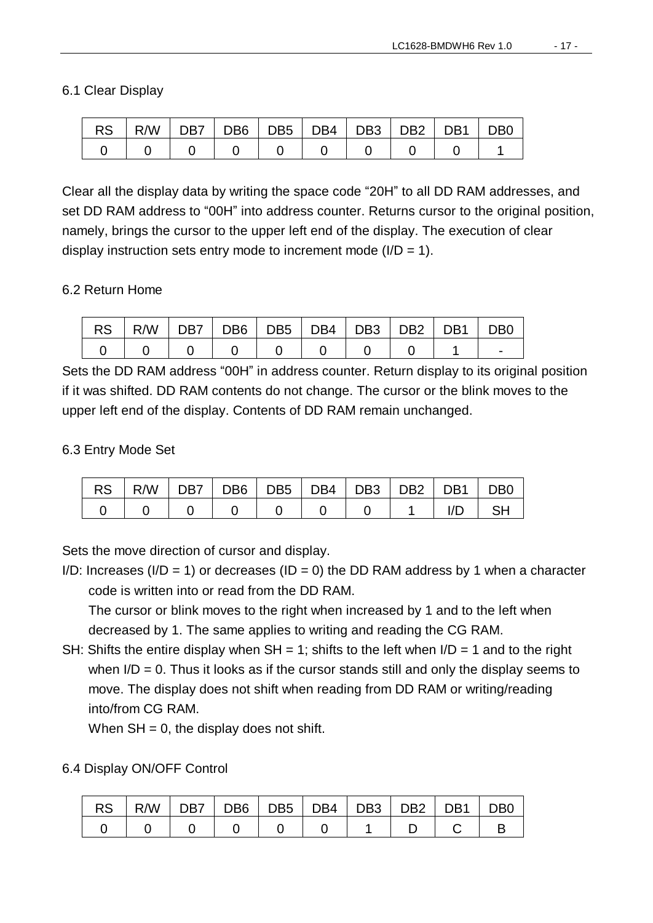#### 6.1 Clear Display

| <b>RS</b> | R/W   DB7   DB6   DB5   DB4   DB3   DB2   DB1 |  |  |  | D <sub>B0</sub> |
|-----------|-----------------------------------------------|--|--|--|-----------------|
|           |                                               |  |  |  |                 |

Clear all the display data by writing the space code "20H" to all DD RAM addresses, and set DD RAM address to "00H" into address counter. Returns cursor to the original position, namely, brings the cursor to the upper left end of the display. The execution of clear display instruction sets entry mode to increment mode  $(I/D = 1)$ .

#### 6.2 Return Home

| RS   R/W   DB7   DB6   DB5   DB4   DB3   DB2   DB1   DB0 |  |  |  |  |
|----------------------------------------------------------|--|--|--|--|
|                                                          |  |  |  |  |

Sets the DD RAM address "00H" in address counter. Return display to its original position if it was shifted. DD RAM contents do not change. The cursor or the blink moves to the upper left end of the display. Contents of DD RAM remain unchanged.

#### 6.3 Entry Mode Set

| $RS$   R/W   DB7   DB6   DB5   DB4   DB3   DB2   DB1   DB0 |  |  |  |      |  |
|------------------------------------------------------------|--|--|--|------|--|
|                                                            |  |  |  | l/D- |  |

Sets the move direction of cursor and display.

I/D: Increases (I/D = 1) or decreases (ID = 0) the DD RAM address by 1 when a character code is written into or read from the DD RAM.

The cursor or blink moves to the right when increased by 1 and to the left when decreased by 1. The same applies to writing and reading the CG RAM.

SH: Shifts the entire display when  $SH = 1$ ; shifts to the left when  $I/D = 1$  and to the right when  $I/D = 0$ . Thus it looks as if the cursor stands still and only the display seems to move. The display does not shift when reading from DD RAM or writing/reading into/from CG RAM.

When  $SH = 0$ , the display does not shift.

#### 6.4 Display ON/OFF Control

| RS   R/W   DB7   DB6   DB5   DB4   DB3   DB2   DB1 |  |  |  | D <sub>B</sub> |
|----------------------------------------------------|--|--|--|----------------|
|                                                    |  |  |  |                |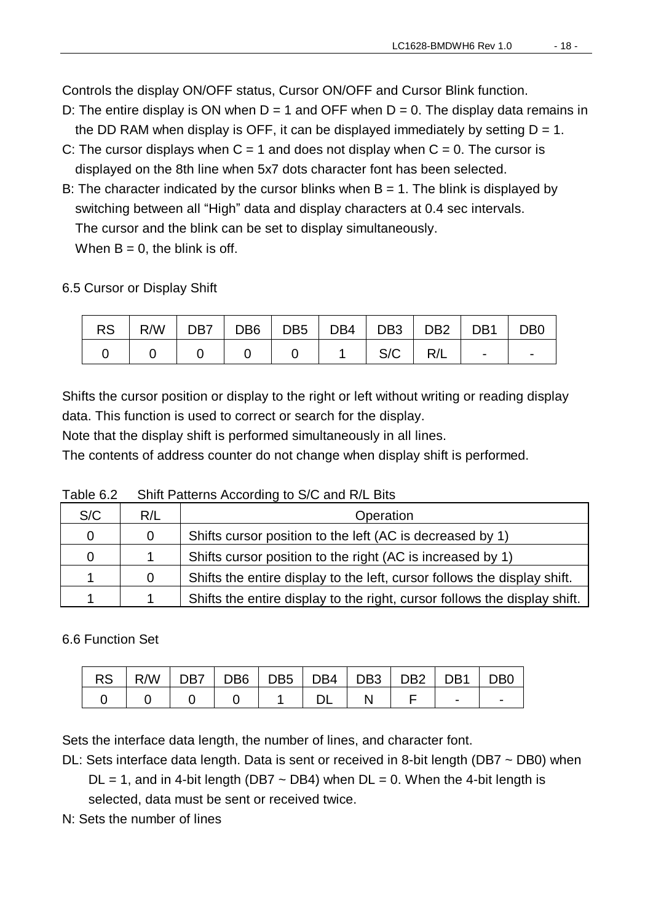Controls the display ON/OFF status, Cursor ON/OFF and Cursor Blink function.

- D: The entire display is ON when  $D = 1$  and OFF when  $D = 0$ . The display data remains in the DD RAM when display is OFF, it can be displayed immediately by setting  $D = 1$ .
- C: The cursor displays when  $C = 1$  and does not display when  $C = 0$ . The cursor is displayed on the 8th line when 5x7 dots character font has been selected.
- B: The character indicated by the cursor blinks when  $B = 1$ . The blink is displayed by switching between all "High" data and display characters at 0.4 sec intervals. The cursor and the blink can be set to display simultaneously. When  $B = 0$ , the blink is off.

6.5 Cursor or Display Shift

|  | $RS$   R/W   DB7   DB6   DB5   DB4   DB3   DB2   DB1   DB0 |  |  |     |     |                 |  |
|--|------------------------------------------------------------|--|--|-----|-----|-----------------|--|
|  |                                                            |  |  | S/C | R/L | and the company |  |

Shifts the cursor position or display to the right or left without writing or reading display data. This function is used to correct or search for the display.

Note that the display shift is performed simultaneously in all lines.

The contents of address counter do not change when display shift is performed.

| S/C | R/L | Operation                                                                 |
|-----|-----|---------------------------------------------------------------------------|
| 0   | 0   | Shifts cursor position to the left (AC is decreased by 1)                 |
| 0   |     | Shifts cursor position to the right (AC is increased by 1)                |
|     | 0   | Shifts the entire display to the left, cursor follows the display shift.  |
|     |     | Shifts the entire display to the right, cursor follows the display shift. |

Table 6.2 Shift Patterns According to S/C and R/L Bits

#### 6.6 Function Set

|  |  |  | RS   R/W   DB7   DB6   DB5   DB4   DB3   DB2   DB1   DB0 |  |  |
|--|--|--|----------------------------------------------------------|--|--|
|  |  |  |                                                          |  |  |

Sets the interface data length, the number of lines, and character font.

DL: Sets interface data length. Data is sent or received in 8-bit length (DB7 ~ DB0) when

 $DL = 1$ , and in 4-bit length (DB7  $\sim$  DB4) when  $DL = 0$ . When the 4-bit length is selected, data must be sent or received twice.

N: Sets the number of lines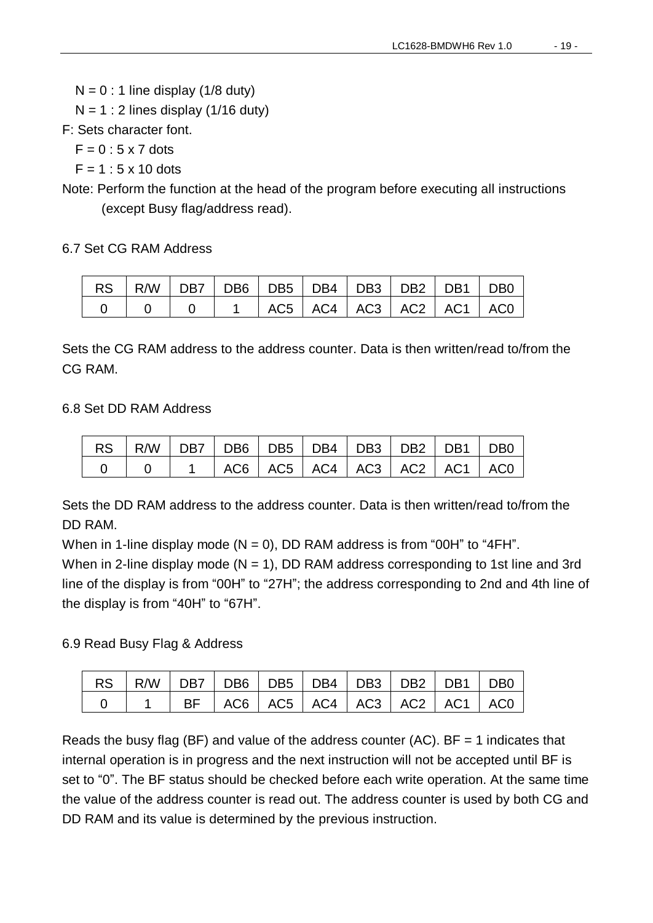$N = 0$ : 1 line display (1/8 duty)

 $N = 1$  : 2 lines display (1/16 duty)

F: Sets character font.

 $F = 0$ : 5 x 7 dots

 $F = 1:5 \times 10$  dots

Note: Perform the function at the head of the program before executing all instructions (except Busy flag/address read).

#### 6.7 Set CG RAM Address

| $\mid$ RS $\mid$ R/W $\mid$ DB7 $\mid$ DB6 $\mid$ DB5 $\mid$ DB4 $\mid$ DB3 $\mid$ DB2 $\mid$ DB1 $\mid$ DB0 |  |  |                                   |  |  |
|--------------------------------------------------------------------------------------------------------------|--|--|-----------------------------------|--|--|
|                                                                                                              |  |  | 0 0 0 0 1 AC5 AC4 AC3 AC2 AC1 AC0 |  |  |

Sets the CG RAM address to the address counter. Data is then written/read to/from the CG RAM.

#### 6.8 Set DD RAM Address

|  | 1   AC6   AC5   AC4   AC3   AC2   AC1   AC0 |  |  |  |
|--|---------------------------------------------|--|--|--|

Sets the DD RAM address to the address counter. Data is then written/read to/from the DD RAM.

When in 1-line display mode  $(N = 0)$ , DD RAM address is from "00H" to "4FH". When in 2-line display mode ( $N = 1$ ), DD RAM address corresponding to 1st line and 3rd line of the display is from "00H" to "27H"; the address corresponding to 2nd and 4th line of the display is from "40H" to "67H".

#### 6.9 Read Busy Flag & Address

| RS   R/W   DB7   DB6   DB5   DB4   DB3   DB2   DB1   DB0 |                                                          |  |  |  |  |
|----------------------------------------------------------|----------------------------------------------------------|--|--|--|--|
|                                                          | $\vert$ 1   BF   AC6   AC5   AC4   AC3   AC2   AC1   AC0 |  |  |  |  |

Reads the busy flag (BF) and value of the address counter (AC).  $BF = 1$  indicates that internal operation is in progress and the next instruction will not be accepted until BF is set to "0". The BF status should be checked before each write operation. At the same time the value of the address counter is read out. The address counter is used by both CG and DD RAM and its value is determined by the previous instruction.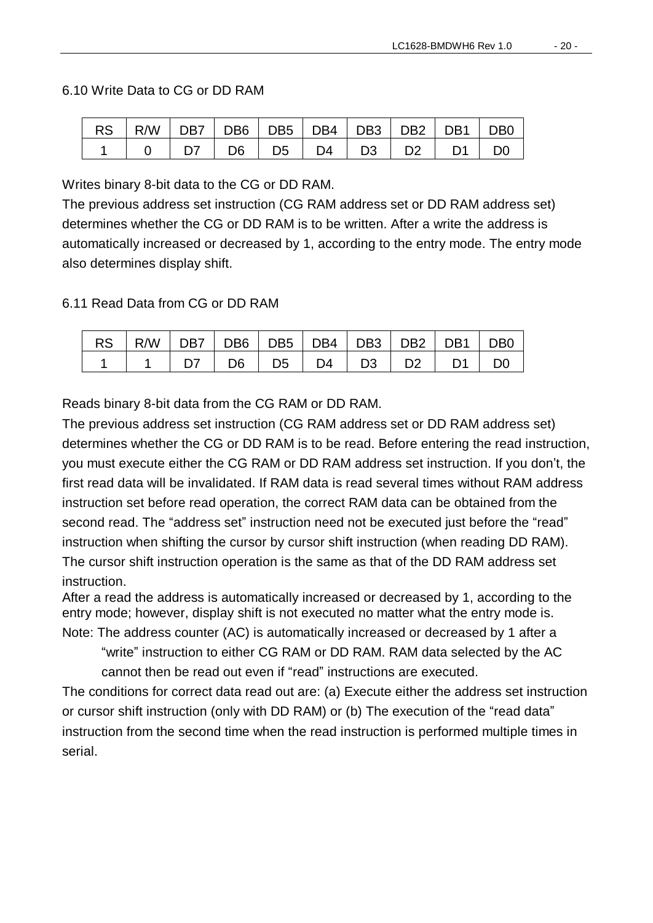#### 6.10 Write Data to CG or DD RAM

| $RS$   R/W   DB7   DB6   DB5   DB4   DB3   DB2   DB1   DB0 |  |                                         |  |  |
|------------------------------------------------------------|--|-----------------------------------------|--|--|
|                                                            |  | $D7$   $D6$   $D5$   $D4$   $D3$   $D2$ |  |  |

Writes binary 8-bit data to the CG or DD RAM.

The previous address set instruction (CG RAM address set or DD RAM address set) determines whether the CG or DD RAM is to be written. After a write the address is automatically increased or decreased by 1, according to the entry mode. The entry mode also determines display shift.

6.11 Read Data from CG or DD RAM

| RS   R/W   DB7   DB6   DB5   DB4   DB3   DB2   DB1   DB0 |  |  |                                                       |  |  |
|----------------------------------------------------------|--|--|-------------------------------------------------------|--|--|
|                                                          |  |  | $D7$   $D6$   $D5$   $D4$   $D3$   $D2$   $D1$   $D0$ |  |  |

Reads binary 8-bit data from the CG RAM or DD RAM.

The previous address set instruction (CG RAM address set or DD RAM address set) determines whether the CG or DD RAM is to be read. Before entering the read instruction, you must execute either the CG RAM or DD RAM address set instruction. If you don't, the first read data will be invalidated. If RAM data is read several times without RAM address instruction set before read operation, the correct RAM data can be obtained from the second read. The "address set" instruction need not be executed just before the "read" instruction when shifting the cursor by cursor shift instruction (when reading DD RAM). The cursor shift instruction operation is the same as that of the DD RAM address set instruction.

After a read the address is automatically increased or decreased by 1, according to the entry mode; however, display shift is not executed no matter what the entry mode is. Note: The address counter (AC) is automatically increased or decreased by 1 after a

"write" instruction to either CG RAM or DD RAM. RAM data selected by the AC cannot then be read out even if "read" instructions are executed.

The conditions for correct data read out are: (a) Execute either the address set instruction or cursor shift instruction (only with DD RAM) or (b) The execution of the "read data" instruction from the second time when the read instruction is performed multiple times in serial.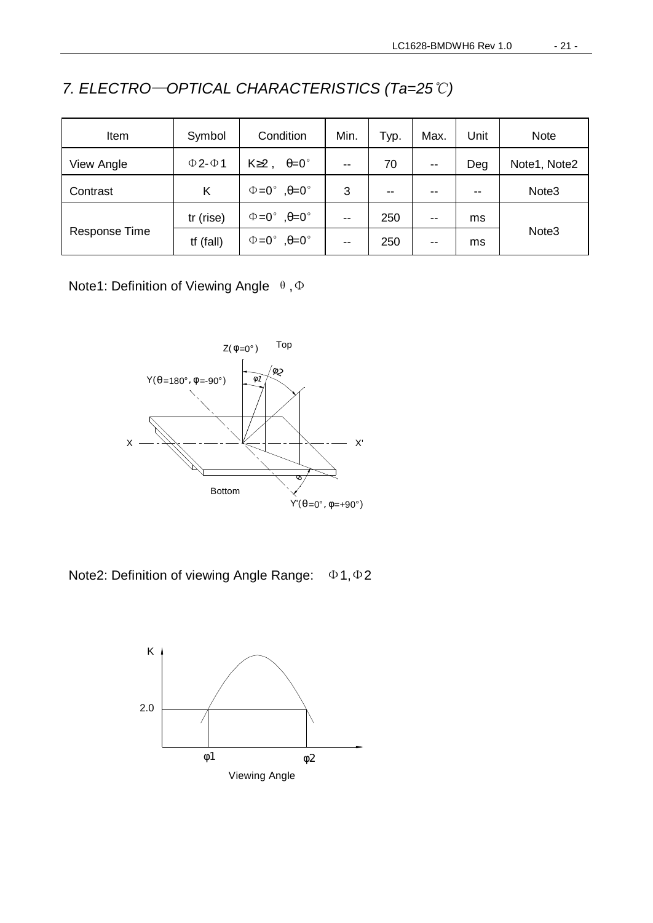| Item          | Symbol             | Condition                             | Min.                     | Typ.  | Max.                     | Unit  | <b>Note</b>       |
|---------------|--------------------|---------------------------------------|--------------------------|-------|--------------------------|-------|-------------------|
| View Angle    | $\Phi$ 2- $\Phi$ 1 | $K \geq 2$ ,<br>$\theta = 0^{\circ}$  | $-$                      | 70    | $\overline{\phantom{m}}$ | Deg   | Note1, Note2      |
| Contrast      | Κ                  | $\Phi = 0^\circ$ , $\theta = 0^\circ$ | 3                        | $- -$ | $- -$                    | $- -$ | Note <sub>3</sub> |
|               | tr (rise)          | $\Phi = 0^\circ$ , $\theta = 0^\circ$ | $-$                      | 250   | $- -$                    | ms    |                   |
| Response Time | $tf$ (fall)        | $\Phi = 0^\circ$ , $\theta = 0^\circ$ | $\overline{\phantom{a}}$ | 250   | $- -$                    | ms    | Note <sub>3</sub> |

*7. ELECTRO*—*OPTICAL CHARACTERISTICS (Ta=25*℃*)* 

Note1: Definition of Viewing Angle θ, Φ



Note2: Definition of viewing Angle Range: Φ1,Φ2

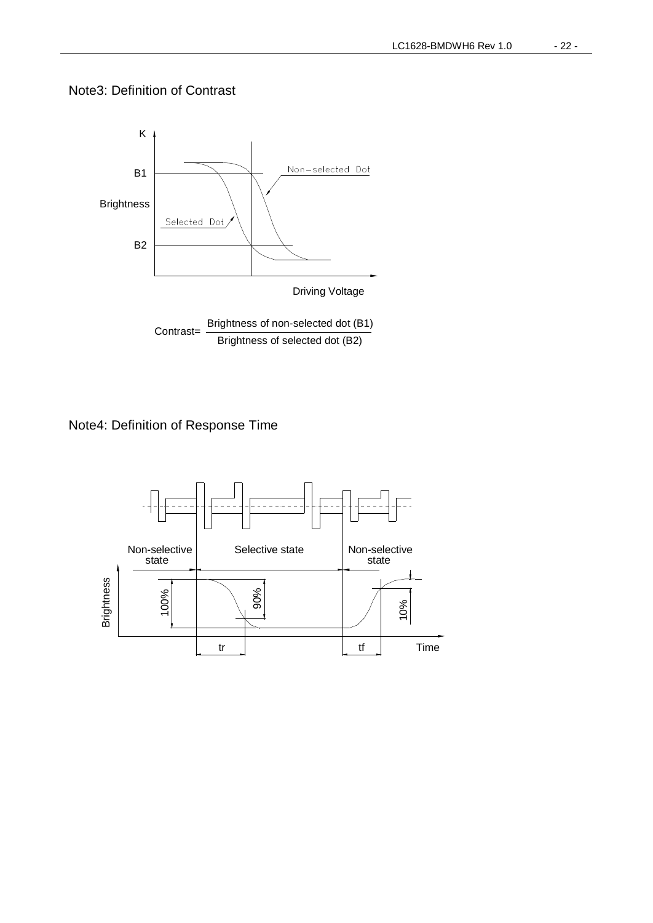#### Note3: Definition of Contrast



Note4: Definition of Response Time

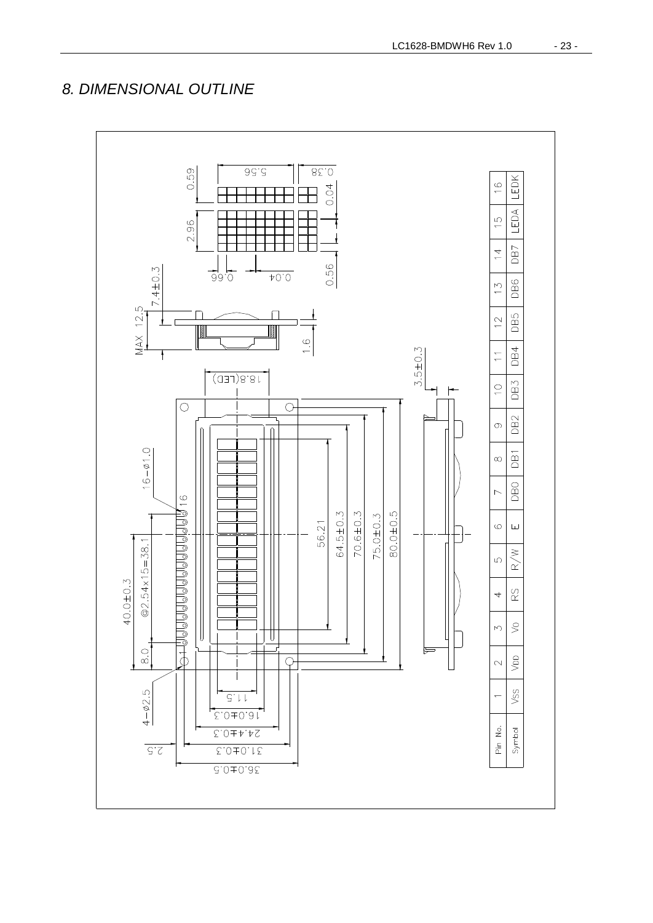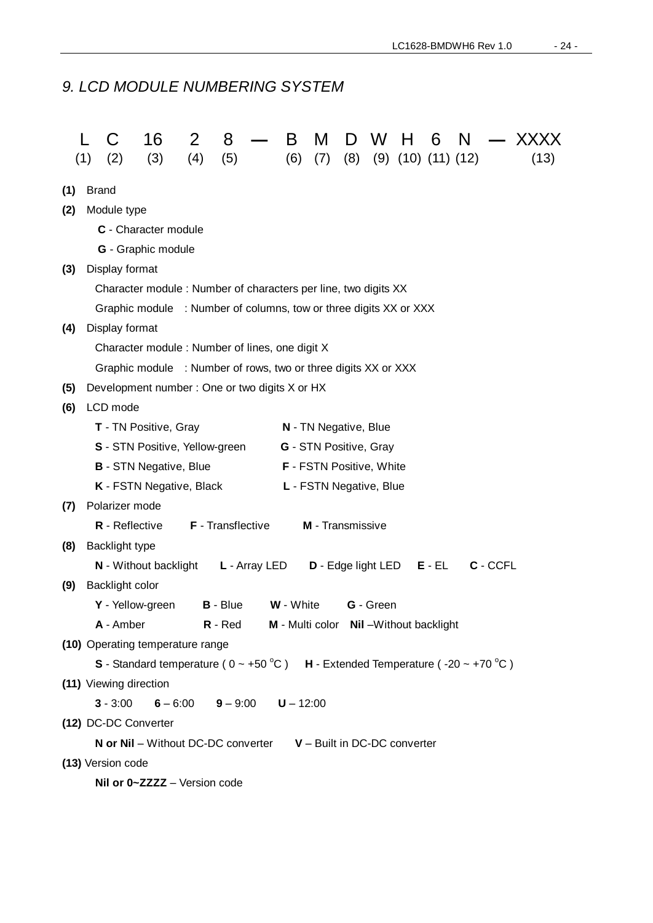#### *9. LCD MODULE NUMBERING SYSTEM*

|     | (1)                  | (2)                    | 16<br>(3)                                                                                                 | 2<br>(4)              | 8<br>(5)                 |               | B           | M                                       | D   | W         | н                          | 6        | N |          | (13) |
|-----|----------------------|------------------------|-----------------------------------------------------------------------------------------------------------|-----------------------|--------------------------|---------------|-------------|-----------------------------------------|-----|-----------|----------------------------|----------|---|----------|------|
|     |                      |                        |                                                                                                           |                       |                          |               | (6)         | (7)                                     | (8) |           | $(9)$ $(10)$ $(11)$ $(12)$ |          |   |          |      |
| (1) | <b>Brand</b>         |                        |                                                                                                           |                       |                          |               |             |                                         |     |           |                            |          |   |          |      |
| (2) | Module type          |                        |                                                                                                           |                       |                          |               |             |                                         |     |           |                            |          |   |          |      |
|     | C - Character module |                        |                                                                                                           |                       |                          |               |             |                                         |     |           |                            |          |   |          |      |
|     | G - Graphic module   |                        |                                                                                                           |                       |                          |               |             |                                         |     |           |                            |          |   |          |      |
| (3) |                      | Display format         |                                                                                                           |                       |                          |               |             |                                         |     |           |                            |          |   |          |      |
|     |                      |                        | Character module: Number of characters per line, two digits XX                                            |                       |                          |               |             |                                         |     |           |                            |          |   |          |      |
|     |                      |                        | Graphic module : Number of columns, tow or three digits XX or XXX                                         |                       |                          |               |             |                                         |     |           |                            |          |   |          |      |
| (4) |                      | Display format         |                                                                                                           |                       |                          |               |             |                                         |     |           |                            |          |   |          |      |
|     |                      |                        | Character module: Number of lines, one digit X                                                            |                       |                          |               |             |                                         |     |           |                            |          |   |          |      |
|     |                      |                        | Graphic module : Number of rows, two or three digits XX or XXX                                            |                       |                          |               |             |                                         |     |           |                            |          |   |          |      |
| (5) |                      |                        | Development number: One or two digits X or HX                                                             |                       |                          |               |             |                                         |     |           |                            |          |   |          |      |
| (6) |                      | LCD mode               |                                                                                                           |                       |                          |               |             |                                         |     |           |                            |          |   |          |      |
|     |                      |                        | T - TN Positive, Gray                                                                                     |                       |                          |               |             | N - TN Negative, Blue                   |     |           |                            |          |   |          |      |
|     |                      |                        | S - STN Positive, Yellow-green                                                                            |                       |                          |               |             | <b>G</b> - STN Positive, Gray           |     |           |                            |          |   |          |      |
|     |                      |                        | <b>B</b> - STN Negative, Blue                                                                             |                       |                          |               |             | <b>F</b> - FSTN Positive, White         |     |           |                            |          |   |          |      |
|     |                      |                        | K - FSTN Negative, Black                                                                                  |                       |                          |               |             | L - FSTN Negative, Blue                 |     |           |                            |          |   |          |      |
| (7) |                      | Polarizer mode         |                                                                                                           |                       |                          |               |             |                                         |     |           |                            |          |   |          |      |
|     |                      | R - Reflective         |                                                                                                           |                       | <b>F</b> - Transflective |               |             | M - Transmissive                        |     |           |                            |          |   |          |      |
| (8) |                      | Backlight type         |                                                                                                           |                       |                          |               |             |                                         |     |           |                            |          |   |          |      |
|     |                      |                        | N - Without backlight                                                                                     |                       |                          | L - Array LED |             | D - Edge light LED                      |     |           |                            | $E - EL$ |   | C - CCFL |      |
| (9) |                      | Backlight color        |                                                                                                           |                       |                          |               |             |                                         |     |           |                            |          |   |          |      |
|     |                      | Y - Yellow-green       |                                                                                                           |                       | <b>B</b> - Blue          |               | W - White   |                                         |     | G - Green |                            |          |   |          |      |
|     |                      | A - Amber              |                                                                                                           |                       | $R - Red$                |               |             | M - Multi color Nil - Without backlight |     |           |                            |          |   |          |      |
|     |                      |                        | (10) Operating temperature range                                                                          |                       |                          |               |             |                                         |     |           |                            |          |   |          |      |
|     |                      |                        | S - Standard temperature ( $0 \sim +50^{\circ}$ C) H - Extended Temperature (-20 $\sim$ +70 $^{\circ}$ C) |                       |                          |               |             |                                         |     |           |                            |          |   |          |      |
|     |                      | (11) Viewing direction |                                                                                                           |                       |                          |               |             |                                         |     |           |                            |          |   |          |      |
|     |                      | $3 - 3:00$             |                                                                                                           | $6 - 6.00$ $9 - 9.00$ |                          |               | $U - 12:00$ |                                         |     |           |                            |          |   |          |      |
|     |                      | (12) DC-DC Converter   |                                                                                                           |                       |                          |               |             |                                         |     |           |                            |          |   |          |      |
|     |                      |                        | <b>N</b> or $Nil$ – Without DC-DC converter $V$ – Built in DC-DC converter                                |                       |                          |               |             |                                         |     |           |                            |          |   |          |      |
|     |                      | (13) Version code      |                                                                                                           |                       |                          |               |             |                                         |     |           |                            |          |   |          |      |
|     |                      |                        | Nil or 0~ZZZZ - Version code                                                                              |                       |                          |               |             |                                         |     |           |                            |          |   |          |      |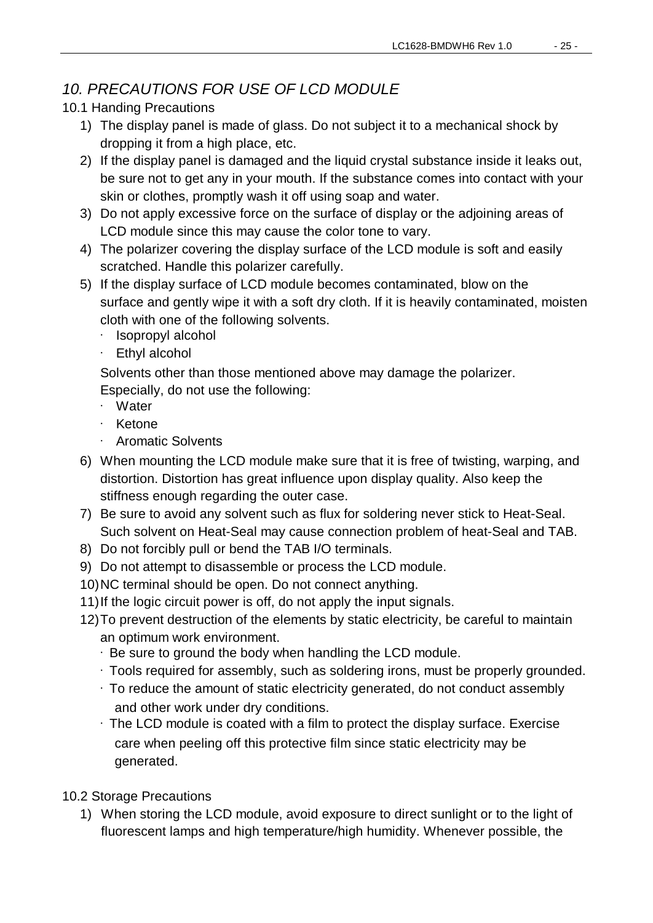#### *10. PRECAUTIONS FOR USE OF LCD MODULE*

#### 10.1 Handing Precautions

- 1) The display panel is made of glass. Do not subject it to a mechanical shock by dropping it from a high place, etc.
- 2) If the display panel is damaged and the liquid crystal substance inside it leaks out, be sure not to get any in your mouth. If the substance comes into contact with your skin or clothes, promptly wash it off using soap and water.
- 3) Do not apply excessive force on the surface of display or the adjoining areas of LCD module since this may cause the color tone to vary.
- 4) The polarizer covering the display surface of the LCD module is soft and easily scratched. Handle this polarizer carefully.
- 5) If the display surface of LCD module becomes contaminated, blow on the surface and gently wipe it with a soft dry cloth. If it is heavily contaminated, moisten cloth with one of the following solvents.
	- · Isopropyl alcohol
	- · Ethyl alcohol

Solvents other than those mentioned above may damage the polarizer.

Especially, do not use the following:

- · Water
- · Ketone
- · Aromatic Solvents
- 6) When mounting the LCD module make sure that it is free of twisting, warping, and distortion. Distortion has great influence upon display quality. Also keep the stiffness enough regarding the outer case.
- 7) Be sure to avoid any solvent such as flux for soldering never stick to Heat-Seal. Such solvent on Heat-Seal may cause connection problem of heat-Seal and TAB.
- 8) Do not forcibly pull or bend the TAB I/O terminals.
- 9) Do not attempt to disassemble or process the LCD module.
- 10)NC terminal should be open. Do not connect anything.
- 11)If the logic circuit power is off, do not apply the input signals.
- 12)To prevent destruction of the elements by static electricity, be careful to maintain an optimum work environment.
	- · Be sure to ground the body when handling the LCD module.
	- · Tools required for assembly, such as soldering irons, must be properly grounded.
	- · To reduce the amount of static electricity generated, do not conduct assembly and other work under dry conditions.
	- · The LCD module is coated with a film to protect the display surface. Exercise care when peeling off this protective film since static electricity may be generated.
- 10.2 Storage Precautions
	- 1) When storing the LCD module, avoid exposure to direct sunlight or to the light of fluorescent lamps and high temperature/high humidity. Whenever possible, the